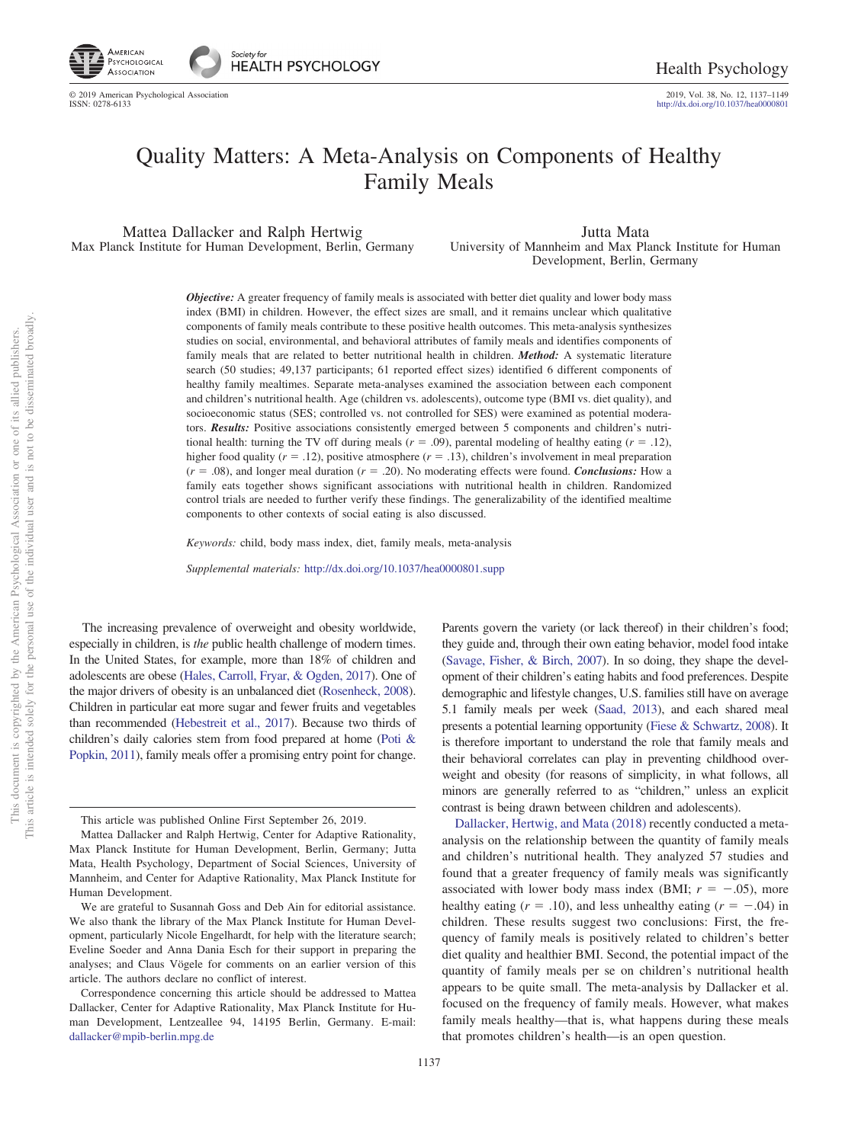2019, Vol. 38, No. 12, 1137-1149<br>http://dx.doi.org[/10.1037/hea0000801](http://dx.doi.org/10.1037/hea0000801)

# Quality Matters: A Meta-Analysis on Components of Healthy Family Meals

Mattea Dallacker and Ralph Hertwig Max Planck Institute for Human Development, Berlin, Germany

Jutta Mata University of Mannheim and Max Planck Institute for Human Development, Berlin, Germany

*Objective:* A greater frequency of family meals is associated with better diet quality and lower body mass index (BMI) in children. However, the effect sizes are small, and it remains unclear which qualitative components of family meals contribute to these positive health outcomes. This meta-analysis synthesizes studies on social, environmental, and behavioral attributes of family meals and identifies components of family meals that are related to better nutritional health in children. *Method:* A systematic literature search (50 studies; 49,137 participants; 61 reported effect sizes) identified 6 different components of healthy family mealtimes. Separate meta-analyses examined the association between each component and children's nutritional health. Age (children vs. adolescents), outcome type (BMI vs. diet quality), and socioeconomic status (SES; controlled vs. not controlled for SES) were examined as potential moderators. Results: Positive associations consistently emerged between 5 components and children's nutritional health: turning the TV off during meals  $(r = .09)$ , parental modeling of healthy eating  $(r = .12)$ , higher food quality  $(r = .12)$ , positive atmosphere  $(r = .13)$ , children's involvement in meal preparation  $(r = .08)$ , and longer meal duration  $(r = .20)$ . No moderating effects were found. *Conclusions:* How a family eats together shows significant associations with nutritional health in children. Randomized control trials are needed to further verify these findings. The generalizability of the identified mealtime components to other contexts of social eating is also discussed.

*Keywords:* child, body mass index, diet, family meals, meta-analysis

*Supplemental materials:* http://dx.doi.org[/10.1037/hea0000801.supp](http://dx.doi.org/10.1037/hea0000801.supp)

The increasing prevalence of overweight and obesity worldwide, especially in children, is *the* public health challenge of modern times. In the United States, for example, more than 18% of children and adolescents are obese [\(Hales, Carroll, Fryar, & Ogden, 2017\)](#page-11-0). One of the major drivers of obesity is an unbalanced diet [\(Rosenheck, 2008\)](#page-12-0). Children in particular eat more sugar and fewer fruits and vegetables than recommended [\(Hebestreit et al., 2017\)](#page-11-1). Because two thirds of children's daily calories stem from food prepared at home [\(Poti &](#page-12-1) [Popkin, 2011\)](#page-12-1), family meals offer a promising entry point for change.

This article is intended solely for the personal use of the individual user and is not to be disseminated broadly. This document is copyrighted by the American Psychological Association or one of its allied publishers. Association and This document is copyrighted by the American Psychological Associa<br>This article is intended solely for the personal use of the individual user

not to be disseminated broadly one of its allied publishers.

 $\overleftarrow{\mathrm{O}}$  $\widetilde{\Xi}$ 

> Parents govern the variety (or lack thereof) in their children's food; they guide and, through their own eating behavior, model food intake [\(Savage, Fisher, & Birch, 2007\)](#page-12-2). In so doing, they shape the development of their children's eating habits and food preferences. Despite demographic and lifestyle changes, U.S. families still have on average 5.1 family meals per week [\(Saad, 2013\)](#page-12-3), and each shared meal presents a potential learning opportunity [\(Fiese & Schwartz, 2008\)](#page-10-0). It is therefore important to understand the role that family meals and their behavioral correlates can play in preventing childhood overweight and obesity (for reasons of simplicity, in what follows, all minors are generally referred to as "children," unless an explicit contrast is being drawn between children and adolescents).

> [Dallacker, Hertwig, and Mata \(2018\)](#page-10-1) recently conducted a metaanalysis on the relationship between the quantity of family meals and children's nutritional health. They analyzed 57 studies and found that a greater frequency of family meals was significantly associated with lower body mass index (BMI;  $r = -.05$ ), more healthy eating  $(r = .10)$ , and less unhealthy eating  $(r = -.04)$  in children. These results suggest two conclusions: First, the frequency of family meals is positively related to children's better diet quality and healthier BMI. Second, the potential impact of the quantity of family meals per se on children's nutritional health appears to be quite small. The meta-analysis by Dallacker et al. focused on the frequency of family meals. However, what makes family meals healthy—that is, what happens during these meals that promotes children's health—is an open question.

This article was published Online First September 26, 2019.

Mattea Dallacker and Ralph Hertwig, Center for Adaptive Rationality, Max Planck Institute for Human Development, Berlin, Germany; Jutta Mata, Health Psychology, Department of Social Sciences, University of Mannheim, and Center for Adaptive Rationality, Max Planck Institute for Human Development.

We are grateful to Susannah Goss and Deb Ain for editorial assistance. We also thank the library of the Max Planck Institute for Human Development, particularly Nicole Engelhardt, for help with the literature search; Eveline Soeder and Anna Dania Esch for their support in preparing the analyses; and Claus Vögele for comments on an earlier version of this article. The authors declare no conflict of interest.

Correspondence concerning this article should be addressed to Mattea Dallacker, Center for Adaptive Rationality, Max Planck Institute for Human Development, Lentzeallee 94, 14195 Berlin, Germany. E-mail: [dallacker@mpib-berlin.mpg.de](mailto:dallacker@mpib-berlin.mpg.de)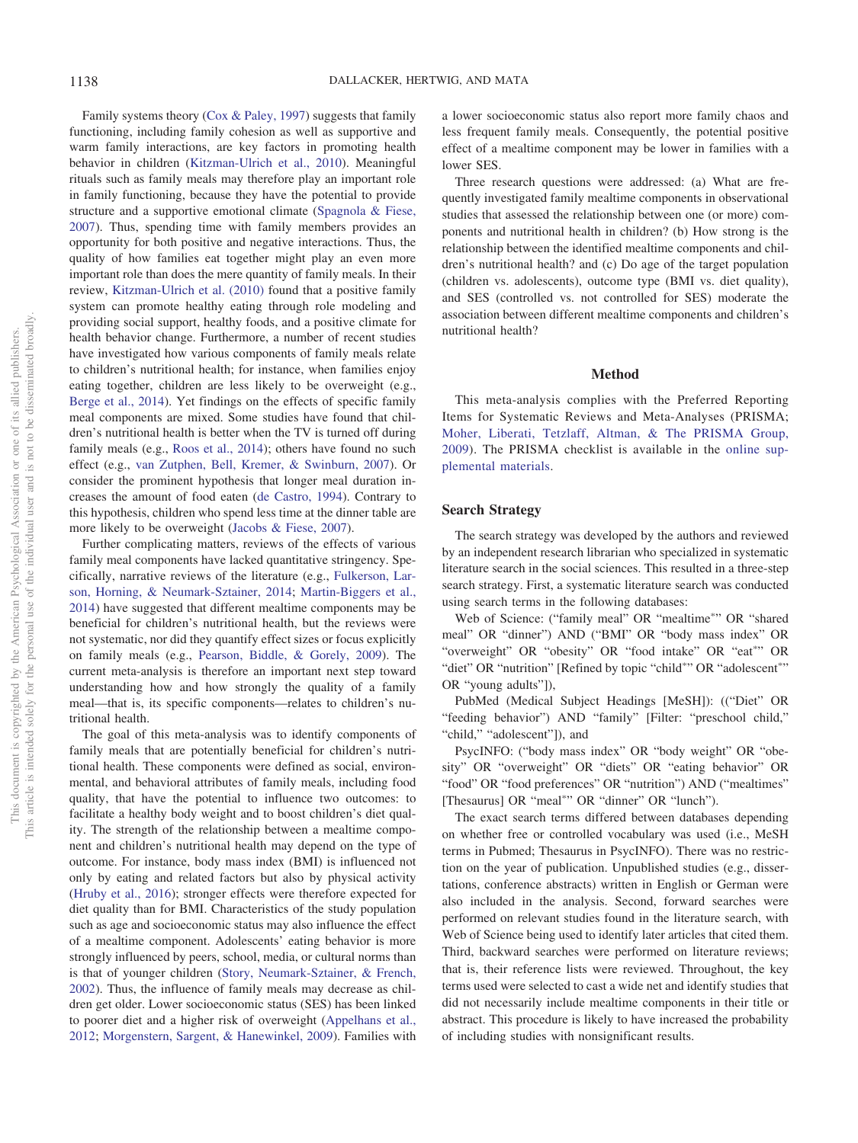Family systems theory [\(Cox & Paley, 1997\)](#page-10-2) suggests that family functioning, including family cohesion as well as supportive and warm family interactions, are key factors in promoting health behavior in children [\(Kitzman-Ulrich et al., 2010\)](#page-11-2). Meaningful rituals such as family meals may therefore play an important role in family functioning, because they have the potential to provide structure and a supportive emotional climate [\(Spagnola & Fiese,](#page-12-4) [2007\)](#page-12-4). Thus, spending time with family members provides an opportunity for both positive and negative interactions. Thus, the quality of how families eat together might play an even more important role than does the mere quantity of family meals. In their review, [Kitzman-Ulrich et al. \(2010\)](#page-11-2) found that a positive family system can promote healthy eating through role modeling and providing social support, healthy foods, and a positive climate for health behavior change. Furthermore, a number of recent studies have investigated how various components of family meals relate to children's nutritional health; for instance, when families enjoy eating together, children are less likely to be overweight (e.g., [Berge et al., 2014\)](#page-9-0). Yet findings on the effects of specific family meal components are mixed. Some studies have found that children's nutritional health is better when the TV is turned off during family meals (e.g., [Roos et al., 2014\)](#page-12-5); others have found no such effect (e.g., [van Zutphen, Bell, Kremer, & Swinburn, 2007\)](#page-12-6). Or consider the prominent hypothesis that longer meal duration increases the amount of food eaten [\(de Castro, 1994\)](#page-10-3). Contrary to this hypothesis, children who spend less time at the dinner table are more likely to be overweight [\(Jacobs & Fiese, 2007\)](#page-11-3).

Further complicating matters, reviews of the effects of various family meal components have lacked quantitative stringency. Specifically, narrative reviews of the literature (e.g., [Fulkerson, Lar](#page-10-4)[son, Horning, & Neumark-Sztainer, 2014;](#page-10-4) [Martin-Biggers et al.,](#page-11-4) [2014\)](#page-11-4) have suggested that different mealtime components may be beneficial for children's nutritional health, but the reviews were not systematic, nor did they quantify effect sizes or focus explicitly on family meals (e.g., [Pearson, Biddle, & Gorely, 2009\)](#page-11-5). The current meta-analysis is therefore an important next step toward understanding how and how strongly the quality of a family meal—that is, its specific components—relates to children's nutritional health.

The goal of this meta-analysis was to identify components of family meals that are potentially beneficial for children's nutritional health. These components were defined as social, environmental, and behavioral attributes of family meals, including food quality, that have the potential to influence two outcomes: to facilitate a healthy body weight and to boost children's diet quality. The strength of the relationship between a mealtime component and children's nutritional health may depend on the type of outcome. For instance, body mass index (BMI) is influenced not only by eating and related factors but also by physical activity [\(Hruby et al., 2016\)](#page-11-6); stronger effects were therefore expected for diet quality than for BMI. Characteristics of the study population such as age and socioeconomic status may also influence the effect of a mealtime component. Adolescents' eating behavior is more strongly influenced by peers, school, media, or cultural norms than is that of younger children [\(Story, Neumark-Sztainer, & French,](#page-12-7) [2002\)](#page-12-7). Thus, the influence of family meals may decrease as children get older. Lower socioeconomic status (SES) has been linked to poorer diet and a higher risk of overweight [\(Appelhans et al.,](#page-9-1) [2012;](#page-9-1) [Morgenstern, Sargent, & Hanewinkel, 2009\)](#page-11-7). Families with

a lower socioeconomic status also report more family chaos and less frequent family meals. Consequently, the potential positive effect of a mealtime component may be lower in families with a lower SES.

Three research questions were addressed: (a) What are frequently investigated family mealtime components in observational studies that assessed the relationship between one (or more) components and nutritional health in children? (b) How strong is the relationship between the identified mealtime components and children's nutritional health? and (c) Do age of the target population (children vs. adolescents), outcome type (BMI vs. diet quality), and SES (controlled vs. not controlled for SES) moderate the association between different mealtime components and children's nutritional health?

# **Method**

This meta-analysis complies with the Preferred Reporting Items for Systematic Reviews and Meta-Analyses (PRISMA; [Moher, Liberati, Tetzlaff, Altman, & The PRISMA Group,](#page-11-8) [2009\)](#page-11-8). The PRISMA checklist is available in the [online sup](http://dx.doi.org/10.1037/hea0000801.supp)[plemental materials.](http://dx.doi.org/10.1037/hea0000801.supp)

#### **Search Strategy**

The search strategy was developed by the authors and reviewed by an independent research librarian who specialized in systematic literature search in the social sciences. This resulted in a three-step search strategy. First, a systematic literature search was conducted using search terms in the following databases:

Web of Science: ("family meal" OR "mealtime"" OR "shared meal" OR "dinner") AND ("BMI" OR "body mass index" OR "overweight" OR "obesity" OR "food intake" OR "eat"" OR "diet" OR "nutrition" [Refined by topic "child"" OR "adolescent"" OR "young adults"]),

PubMed (Medical Subject Headings [MeSH]): (("Diet" OR "feeding behavior") AND "family" [Filter: "preschool child," "child," "adolescent"]), and

PsycINFO: ("body mass index" OR "body weight" OR "obesity" OR "overweight" OR "diets" OR "eating behavior" OR "food" OR "food preferences" OR "nutrition") AND ("mealtimes" [Thesaurus] OR "meal"<sup>\*\*</sup> OR "dinner" OR "lunch").

The exact search terms differed between databases depending on whether free or controlled vocabulary was used (i.e., MeSH terms in Pubmed; Thesaurus in PsycINFO). There was no restriction on the year of publication. Unpublished studies (e.g., dissertations, conference abstracts) written in English or German were also included in the analysis. Second, forward searches were performed on relevant studies found in the literature search, with Web of Science being used to identify later articles that cited them. Third, backward searches were performed on literature reviews; that is, their reference lists were reviewed. Throughout, the key terms used were selected to cast a wide net and identify studies that did not necessarily include mealtime components in their title or abstract. This procedure is likely to have increased the probability of including studies with nonsignificant results.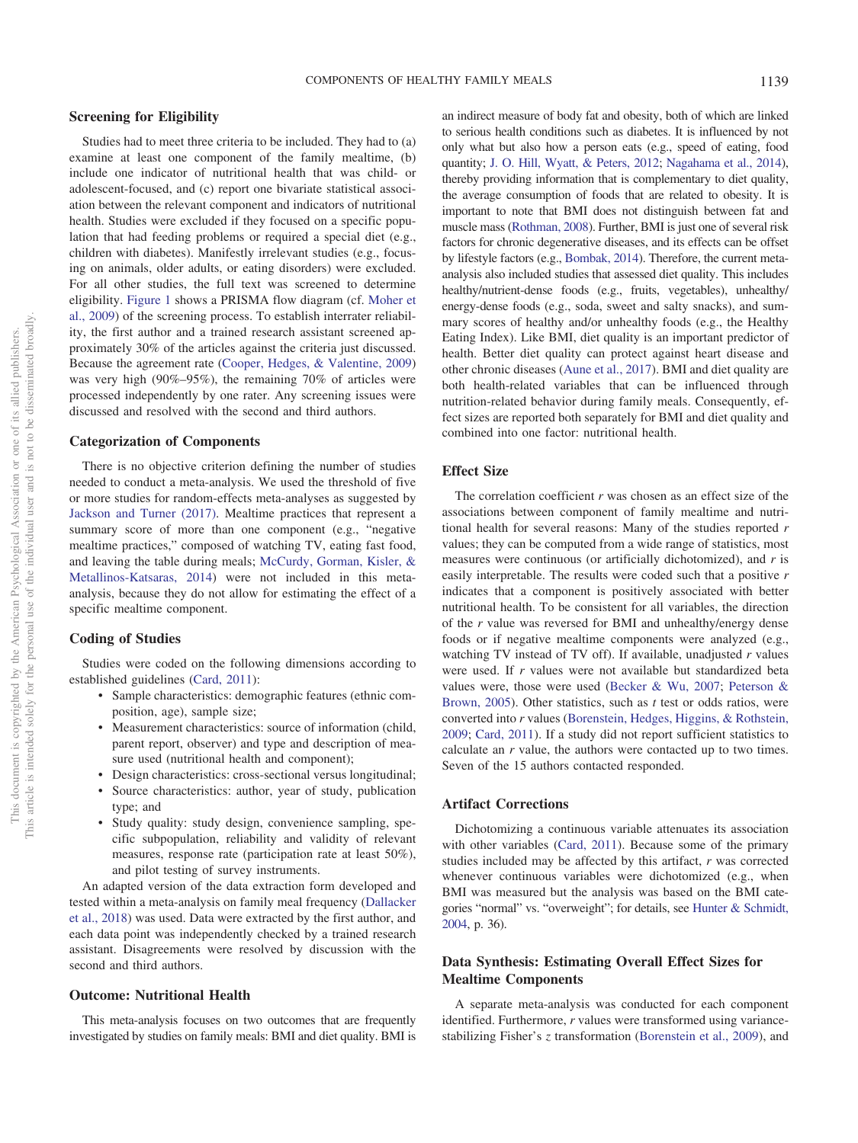#### COMPONENTS OF HEALTHY FAMILY MEALS 1139

# **Screening for Eligibility**

Studies had to meet three criteria to be included. They had to (a) examine at least one component of the family mealtime, (b) include one indicator of nutritional health that was child- or adolescent-focused, and (c) report one bivariate statistical association between the relevant component and indicators of nutritional health. Studies were excluded if they focused on a specific population that had feeding problems or required a special diet (e.g., children with diabetes). Manifestly irrelevant studies (e.g., focusing on animals, older adults, or eating disorders) were excluded. For all other studies, the full text was screened to determine eligibility. [Figure 1](#page-3-0) shows a PRISMA flow diagram (cf. [Moher et](#page-11-8) [al., 2009\)](#page-11-8) of the screening process. To establish interrater reliability, the first author and a trained research assistant screened approximately 30% of the articles against the criteria just discussed. Because the agreement rate [\(Cooper, Hedges, & Valentine, 2009\)](#page-10-5) was very high (90%–95%), the remaining 70% of articles were processed independently by one rater. Any screening issues were discussed and resolved with the second and third authors.

#### **Categorization of Components**

There is no objective criterion defining the number of studies needed to conduct a meta-analysis. We used the threshold of five or more studies for random-effects meta-analyses as suggested by [Jackson and Turner \(2017\).](#page-11-9) Mealtime practices that represent a summary score of more than one component (e.g., "negative") mealtime practices," composed of watching TV, eating fast food, and leaving the table during meals; [McCurdy, Gorman, Kisler, &](#page-11-10) [Metallinos-Katsaras, 2014\)](#page-11-10) were not included in this metaanalysis, because they do not allow for estimating the effect of a specific mealtime component.

#### **Coding of Studies**

Studies were coded on the following dimensions according to established guidelines [\(Card, 2011\)](#page-10-6):

- Sample characteristics: demographic features (ethnic composition, age), sample size;
- Measurement characteristics: source of information (child, parent report, observer) and type and description of measure used (nutritional health and component);
- Design characteristics: cross-sectional versus longitudinal;
- Source characteristics: author, year of study, publication type; and
- Study quality: study design, convenience sampling, specific subpopulation, reliability and validity of relevant measures, response rate (participation rate at least 50%), and pilot testing of survey instruments.

An adapted version of the data extraction form developed and tested within a meta-analysis on family meal frequency [\(Dallacker](#page-10-1) [et al., 2018\)](#page-10-1) was used. Data were extracted by the first author, and each data point was independently checked by a trained research assistant. Disagreements were resolved by discussion with the second and third authors.

#### **Outcome: Nutritional Health**

This meta-analysis focuses on two outcomes that are frequently investigated by studies on family meals: BMI and diet quality. BMI is

an indirect measure of body fat and obesity, both of which are linked to serious health conditions such as diabetes. It is influenced by not only what but also how a person eats (e.g., speed of eating, food quantity; [J. O. Hill, Wyatt, & Peters, 2012;](#page-11-11) [Nagahama et al., 2014\)](#page-11-12), thereby providing information that is complementary to diet quality, the average consumption of foods that are related to obesity. It is important to note that BMI does not distinguish between fat and muscle mass [\(Rothman, 2008\)](#page-12-8). Further, BMI is just one of several risk factors for chronic degenerative diseases, and its effects can be offset by lifestyle factors (e.g., [Bombak, 2014\)](#page-10-7). Therefore, the current metaanalysis also included studies that assessed diet quality. This includes healthy/nutrient-dense foods (e.g., fruits, vegetables), unhealthy/ energy-dense foods (e.g., soda, sweet and salty snacks), and summary scores of healthy and/or unhealthy foods (e.g., the Healthy Eating Index). Like BMI, diet quality is an important predictor of health. Better diet quality can protect against heart disease and other chronic diseases [\(Aune et al., 2017\)](#page-9-2). BMI and diet quality are both health-related variables that can be influenced through nutrition-related behavior during family meals. Consequently, effect sizes are reported both separately for BMI and diet quality and combined into one factor: nutritional health.

#### **Effect Size**

The correlation coefficient *r* was chosen as an effect size of the associations between component of family mealtime and nutritional health for several reasons: Many of the studies reported *r* values; they can be computed from a wide range of statistics, most measures were continuous (or artificially dichotomized), and *r* is easily interpretable. The results were coded such that a positive *r* indicates that a component is positively associated with better nutritional health. To be consistent for all variables, the direction of the *r* value was reversed for BMI and unhealthy/energy dense foods or if negative mealtime components were analyzed (e.g., watching TV instead of TV off). If available, unadjusted *r* values were used. If *r* values were not available but standardized beta values were, those were used [\(Becker & Wu, 2007;](#page-9-3) [Peterson &](#page-12-9) [Brown, 2005\)](#page-12-9). Other statistics, such as *t* test or odds ratios, were converted into *r* values [\(Borenstein, Hedges, Higgins, & Rothstein,](#page-10-8) [2009;](#page-10-8) [Card, 2011\)](#page-10-6). If a study did not report sufficient statistics to calculate an *r* value, the authors were contacted up to two times. Seven of the 15 authors contacted responded.

## **Artifact Corrections**

Dichotomizing a continuous variable attenuates its association with other variables [\(Card, 2011\)](#page-10-6). Because some of the primary studies included may be affected by this artifact, *r* was corrected whenever continuous variables were dichotomized (e.g., when BMI was measured but the analysis was based on the BMI categories "normal" vs. "overweight"; for details, see [Hunter & Schmidt,](#page-11-13) [2004,](#page-11-13) p. 36).

# **Data Synthesis: Estimating Overall Effect Sizes for Mealtime Components**

A separate meta-analysis was conducted for each component identified. Furthermore, *r* values were transformed using variancestabilizing Fisher's *z* transformation [\(Borenstein et al., 2009\)](#page-10-8), and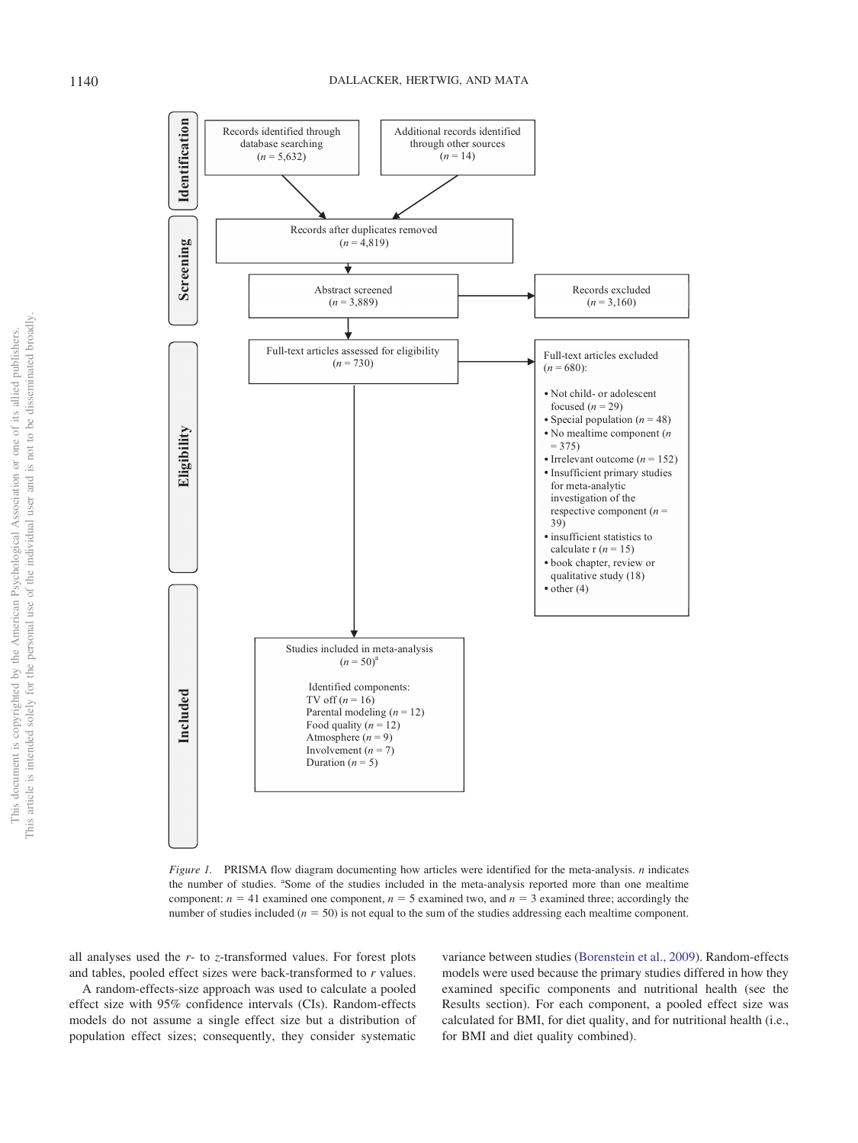

<span id="page-3-0"></span>*Figure 1.* PRISMA flow diagram documenting how articles were identified for the meta-analysis. *n* indicates the number of studies. "Some of the studies included in the meta-analysis reported more than one mealtime component:  $n = 41$  examined one component,  $n = 5$  examined two, and  $n = 3$  examined three; accordingly the number of studies included  $(n = 50)$  is not equal to the sum of the studies addressing each mealtime component.

all analyses used the *r*- to *z*-transformed values. For forest plots and tables, pooled effect sizes were back-transformed to *r* values.

A random-effects-size approach was used to calculate a pooled effect size with 95% confidence intervals (CIs). Random-effects models do not assume a single effect size but a distribution of population effect sizes; consequently, they consider systematic

variance between studies [\(Borenstein et al., 2009\)](#page-10-8). Random-effects models were used because the primary studies differed in how they examined specific components and nutritional health (see the Results section). For each component, a pooled effect size was calculated for BMI, for diet quality, and for nutritional health (i.e., for BMI and diet quality combined).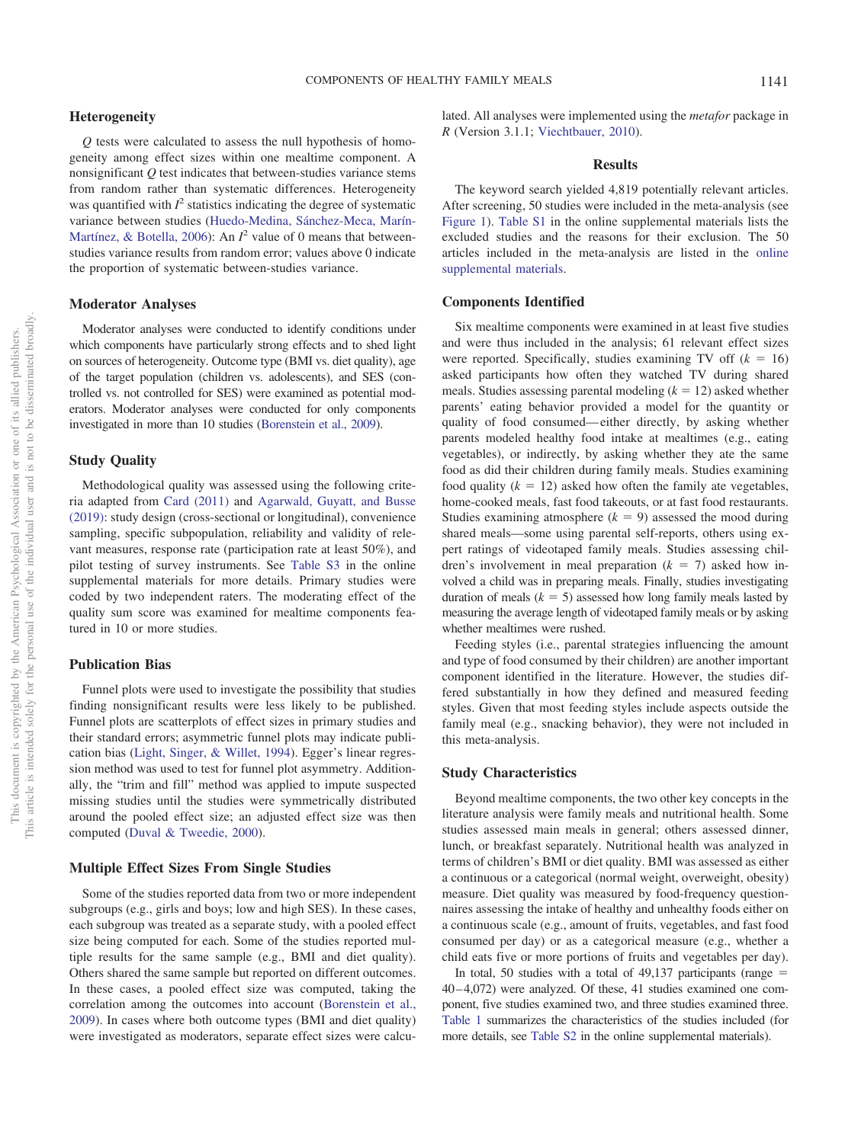#### **Heterogeneity**

*Q* tests were calculated to assess the null hypothesis of homogeneity among effect sizes within one mealtime component. A nonsignificant *Q* test indicates that between-studies variance stems from random rather than systematic differences. Heterogeneity was quantified with  $I^2$  statistics indicating the degree of systematic variance between studies [\(Huedo-Medina, Sánchez-Meca, Marín-](#page-11-14)[Martínez, & Botella, 2006\)](#page-11-14): An  $I^2$  value of 0 means that betweenstudies variance results from random error; values above 0 indicate the proportion of systematic between-studies variance.

#### **Moderator Analyses**

Moderator analyses were conducted to identify conditions under which components have particularly strong effects and to shed light on sources of heterogeneity. Outcome type (BMI vs. diet quality), age of the target population (children vs. adolescents), and SES (controlled vs. not controlled for SES) were examined as potential moderators. Moderator analyses were conducted for only components investigated in more than 10 studies [\(Borenstein et al., 2009\)](#page-10-8).

# **Study Quality**

Methodological quality was assessed using the following criteria adapted from [Card \(2011\)](#page-10-6) and [Agarwald, Guyatt, and Busse](#page-9-4) [\(2019\):](#page-9-4) study design (cross-sectional or longitudinal), convenience sampling, specific subpopulation, reliability and validity of relevant measures, response rate (participation rate at least 50%), and pilot testing of survey instruments. See [Table S3](http://dx.doi.org/10.1037/hea0000801.supp) in the online supplemental materials for more details. Primary studies were coded by two independent raters. The moderating effect of the quality sum score was examined for mealtime components featured in 10 or more studies.

# **Publication Bias**

Funnel plots were used to investigate the possibility that studies finding nonsignificant results were less likely to be published. Funnel plots are scatterplots of effect sizes in primary studies and their standard errors; asymmetric funnel plots may indicate publication bias [\(Light, Singer, & Willet, 1994\)](#page-11-15). Egger's linear regression method was used to test for funnel plot asymmetry. Additionally, the "trim and fill" method was applied to impute suspected missing studies until the studies were symmetrically distributed around the pooled effect size; an adjusted effect size was then computed [\(Duval & Tweedie, 2000\)](#page-10-9).

# **Multiple Effect Sizes From Single Studies**

Some of the studies reported data from two or more independent subgroups (e.g., girls and boys; low and high SES). In these cases, each subgroup was treated as a separate study, with a pooled effect size being computed for each. Some of the studies reported multiple results for the same sample (e.g., BMI and diet quality). Others shared the same sample but reported on different outcomes. In these cases, a pooled effect size was computed, taking the correlation among the outcomes into account [\(Borenstein et al.,](#page-10-8) [2009\)](#page-10-8). In cases where both outcome types (BMI and diet quality) were investigated as moderators, separate effect sizes were calcu-

#### **Results**

The keyword search yielded 4,819 potentially relevant articles. After screening, 50 studies were included in the meta-analysis (see [Figure 1\)](#page-3-0). [Table S1](http://dx.doi.org/10.1037/hea0000801.supp) in the online supplemental materials lists the excluded studies and the reasons for their exclusion. The 50 articles included in the meta-analysis are listed in the [online](http://dx.doi.org/10.1037/hea0000801.supp) [supplemental materials.](http://dx.doi.org/10.1037/hea0000801.supp)

#### **Components Identified**

Six mealtime components were examined in at least five studies and were thus included in the analysis; 61 relevant effect sizes were reported. Specifically, studies examining TV off  $(k = 16)$ asked participants how often they watched TV during shared meals. Studies assessing parental modeling  $(k = 12)$  asked whether parents' eating behavior provided a model for the quantity or quality of food consumed— either directly, by asking whether parents modeled healthy food intake at mealtimes (e.g., eating vegetables), or indirectly, by asking whether they ate the same food as did their children during family meals. Studies examining food quality  $(k = 12)$  asked how often the family ate vegetables, home-cooked meals, fast food takeouts, or at fast food restaurants. Studies examining atmosphere  $(k = 9)$  assessed the mood during shared meals—some using parental self-reports, others using expert ratings of videotaped family meals. Studies assessing children's involvement in meal preparation  $(k = 7)$  asked how involved a child was in preparing meals. Finally, studies investigating duration of meals  $(k = 5)$  assessed how long family meals lasted by measuring the average length of videotaped family meals or by asking whether mealtimes were rushed.

Feeding styles (i.e., parental strategies influencing the amount and type of food consumed by their children) are another important component identified in the literature. However, the studies differed substantially in how they defined and measured feeding styles. Given that most feeding styles include aspects outside the family meal (e.g., snacking behavior), they were not included in this meta-analysis.

#### **Study Characteristics**

Beyond mealtime components, the two other key concepts in the literature analysis were family meals and nutritional health. Some studies assessed main meals in general; others assessed dinner, lunch, or breakfast separately. Nutritional health was analyzed in terms of children's BMI or diet quality. BMI was assessed as either a continuous or a categorical (normal weight, overweight, obesity) measure. Diet quality was measured by food-frequency questionnaires assessing the intake of healthy and unhealthy foods either on a continuous scale (e.g., amount of fruits, vegetables, and fast food consumed per day) or as a categorical measure (e.g., whether a child eats five or more portions of fruits and vegetables per day).

In total, 50 studies with a total of  $49,137$  participants (range  $=$ 40 – 4,072) were analyzed. Of these, 41 studies examined one component, five studies examined two, and three studies examined three. [Table 1](#page-5-0) summarizes the characteristics of the studies included (for more details, see [Table S2](http://dx.doi.org/10.1037/hea0000801.supp) in the online supplemental materials).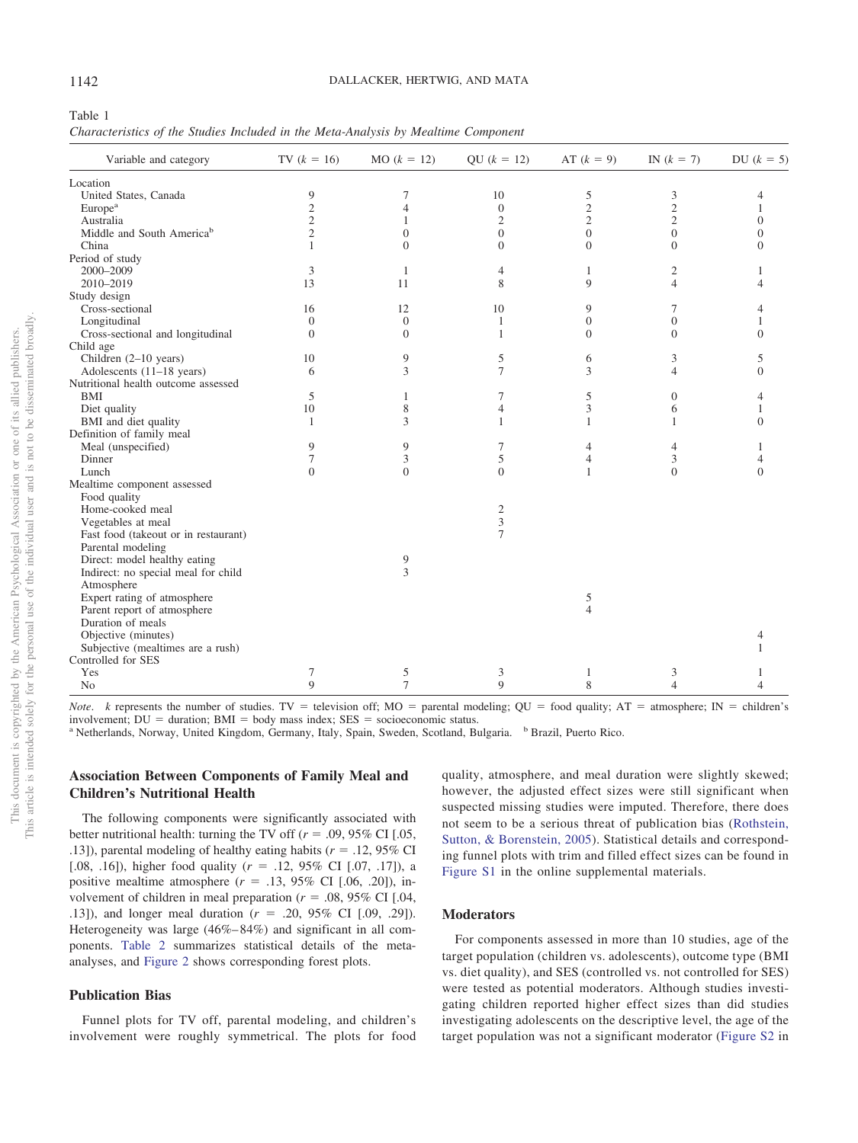<span id="page-5-0"></span>Table 1

*Characteristics of the Studies Included in the Meta-Analysis by Mealtime Component*

| Variable and category                 | TV $(k = 16)$  | $MO (k = 12)$  | QU $(k = 12)$    | AT $(k = 9)$     | IN $(k = 7)$     | DU $(k = 5)$   |
|---------------------------------------|----------------|----------------|------------------|------------------|------------------|----------------|
| Location                              |                |                |                  |                  |                  |                |
| United States, Canada                 | 9              | 7              | 10               | 5                | 3                | 4              |
| Europe <sup>a</sup>                   | $\overline{c}$ | 4              | $\boldsymbol{0}$ | $\overline{c}$   | $\overline{c}$   |                |
| Australia                             | $\overline{c}$ | 1              | $\mathfrak{2}$   | $\overline{c}$   | $\overline{2}$   | $\overline{0}$ |
| Middle and South America <sup>b</sup> | $\overline{c}$ | $\overline{0}$ | $\boldsymbol{0}$ | $\boldsymbol{0}$ | $\overline{0}$   | $\Omega$       |
| China                                 | 1              | $\Omega$       | $\overline{0}$   | $\mathbf{0}$     | $\theta$         | $\Omega$       |
| Period of study                       |                |                |                  |                  |                  |                |
| 2000-2009                             | 3              | $\mathbf{1}$   | 4                | $\mathbf{1}$     | 2                |                |
| 2010-2019                             | 13             | 11             | 8                | 9                | 4                |                |
| Study design                          |                |                |                  |                  |                  |                |
| Cross-sectional                       | 16             | 12             | 10               | 9                | 7                |                |
| Longitudinal                          | $\theta$       | $\mathbf{0}$   | 1                | $\boldsymbol{0}$ | $\overline{0}$   |                |
| Cross-sectional and longitudinal      | $\theta$       | $\overline{0}$ | 1                | $\mathbf{0}$     | $\Omega$         | $\Omega$       |
| Child age                             |                |                |                  |                  |                  |                |
| Children $(2-10$ years)               | 10             | 9              | 5                | 6                | 3                | 5              |
| Adolescents (11-18 years)             | 6              | 3              | 7                | 3                | 4                | $\Omega$       |
| Nutritional health outcome assessed   |                |                |                  |                  |                  |                |
| BMI                                   | 5              | 1              | 7                | 5                | $\boldsymbol{0}$ | 4              |
| Diet quality                          | 10             | 8              | $\overline{4}$   | 3                | 6                |                |
| BMI and diet quality                  | $\mathbf{1}$   | 3              | 1                | $\mathbf{1}$     | 1                | $\Omega$       |
| Definition of family meal             |                |                |                  |                  |                  |                |
| Meal (unspecified)                    | 9              | 9              | 7                | $\overline{4}$   | 4                |                |
| Dinner                                | 7              | 3              | 5                | $\overline{4}$   | 3                | 4              |
| Lunch                                 | $\theta$       | $\overline{0}$ | $\overline{0}$   | $\mathbf{1}$     | $\theta$         | $\Omega$       |
| Mealtime component assessed           |                |                |                  |                  |                  |                |
| Food quality                          |                |                |                  |                  |                  |                |
| Home-cooked meal                      |                |                | $\mathfrak{2}$   |                  |                  |                |
| Vegetables at meal                    |                |                | 3                |                  |                  |                |
| Fast food (takeout or in restaurant)  |                |                | $\overline{7}$   |                  |                  |                |
| Parental modeling                     |                |                |                  |                  |                  |                |
| Direct: model healthy eating          |                | 9              |                  |                  |                  |                |
| Indirect: no special meal for child   |                | 3              |                  |                  |                  |                |
| Atmosphere                            |                |                |                  |                  |                  |                |
| Expert rating of atmosphere           |                |                |                  | 5                |                  |                |
| Parent report of atmosphere           |                |                |                  | $\overline{4}$   |                  |                |
| Duration of meals                     |                |                |                  |                  |                  |                |
| Objective (minutes)                   |                |                |                  |                  |                  |                |
| Subjective (mealtimes are a rush)     |                |                |                  |                  |                  |                |
| Controlled for SES                    |                |                |                  |                  |                  |                |
| Yes                                   | 7              | 5              | 3                | $\mathbf{1}$     | 3                |                |
| N <sub>o</sub>                        | 9              | $\overline{7}$ | 9                | 8                | 4                | 4              |

*Note. k* represents the number of studies. TV = television off;  $MO =$  parental modeling;  $QU =$  food quality;  $AT =$  atmosphere;  $IN =$  children's involvement;  $DU =$  duration;  $BMI =$  body mass index;  $SES =$ 

<sup>a</sup> Netherlands, Norway, United Kingdom, Germany, Italy, Spain, Sweden, Scotland, Bulgaria. <sup>b</sup> Brazil, Puerto Rico.

# **Association Between Components of Family Meal and Children's Nutritional Health**

The following components were significantly associated with better nutritional health: turning the TV off  $(r = .09, 95\% \text{ CI}$  [.05, .13]), parental modeling of healthy eating habits ( $r = .12,95\%$  CI [.08, .16]), higher food quality  $(r = .12, 95\% \text{ CI}$  [.07, .17]), a positive mealtime atmosphere  $(r = .13, 95\% \text{ CI} [.06, .20])$ , involvement of children in meal preparation ( $r = .08, 95\%$  CI [.04, .13]), and longer meal duration  $(r = .20, 95\% \text{ CI} [.09, .29])$ . Heterogeneity was large (46%– 84%) and significant in all components. [Table 2](#page-6-0) summarizes statistical details of the metaanalyses, and [Figure 2](#page-7-0) shows corresponding forest plots.

#### **Publication Bias**

Funnel plots for TV off, parental modeling, and children's involvement were roughly symmetrical. The plots for food

quality, atmosphere, and meal duration were slightly skewed; however, the adjusted effect sizes were still significant when suspected missing studies were imputed. Therefore, there does not seem to be a serious threat of publication bias [\(Rothstein,](#page-12-11) [Sutton, & Borenstein, 2005\)](#page-12-11). Statistical details and corresponding funnel plots with trim and filled effect sizes can be found in [Figure S1](http://dx.doi.org/10.1037/hea0000801.supp) in the online supplemental materials.

# **Moderators**

For components assessed in more than 10 studies, age of the target population (children vs. adolescents), outcome type (BMI vs. diet quality), and SES (controlled vs. not controlled for SES) were tested as potential moderators. Although studies investigating children reported higher effect sizes than did studies investigating adolescents on the descriptive level, the age of the target population was not a significant moderator [\(Figure S2](http://dx.doi.org/10.1037/hea0000801.supp) in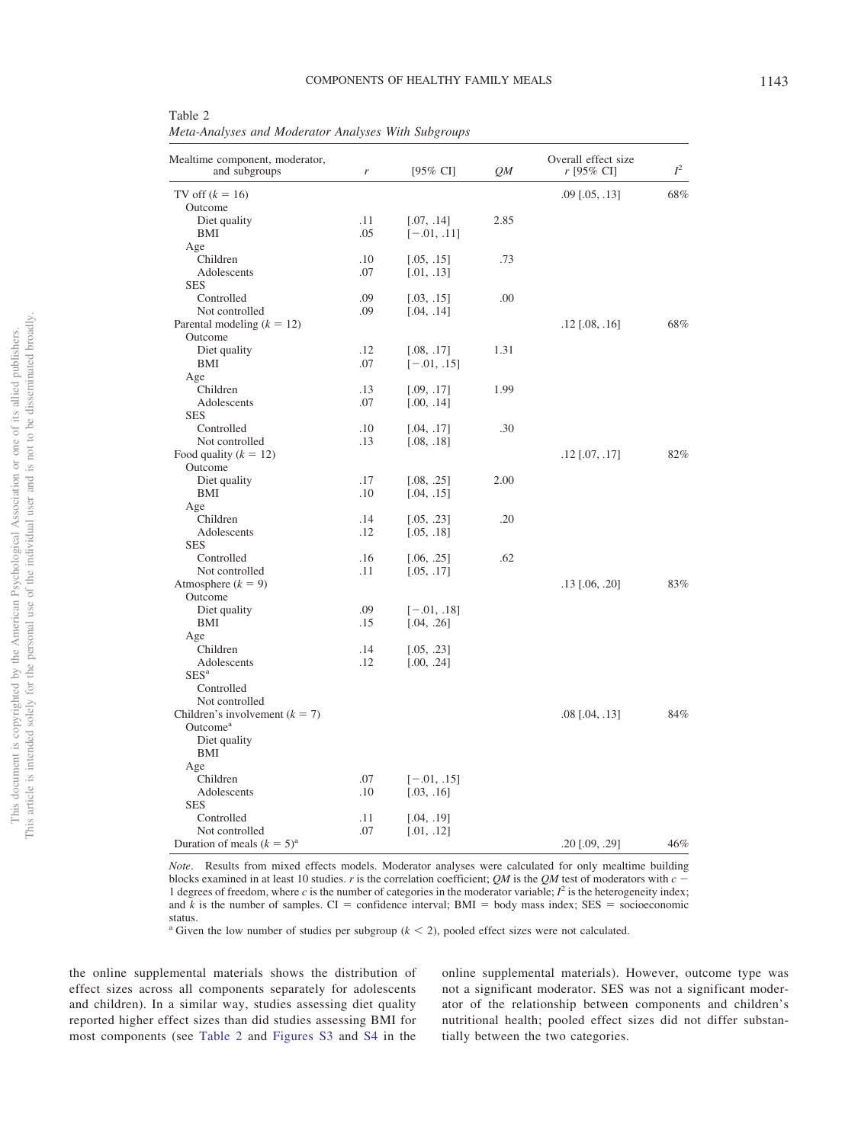| Mealtime component, moderator,<br>and subgroups | r   | $[95\% \text{ CI}]$ | QМ   | Overall effect size<br>$r$ [95% CI] | $I^2$ |
|-------------------------------------------------|-----|---------------------|------|-------------------------------------|-------|
| TV off $(k = 16)$                               |     |                     |      | $.09$ [ $.05, .13$ ]                | 68%   |
| Outcome                                         |     |                     |      |                                     |       |
| Diet quality                                    | .11 | [.07, .14]          | 2.85 |                                     |       |
| BMI                                             | .05 | $[-.01, .11]$       |      |                                     |       |
| Age                                             |     |                     |      |                                     |       |
| Children                                        | .10 | [.05, .15]          | .73  |                                     |       |
| Adolescents                                     | .07 | [.01, .13]          |      |                                     |       |
| <b>SES</b>                                      |     |                     |      |                                     |       |
| Controlled                                      | .09 | [.03, .15]          | .00  |                                     |       |
| Not controlled                                  | .09 | [.04, .14]          |      |                                     |       |
| Parental modeling $(k = 12)$                    |     |                     |      | $.12$ [.08, .16]                    | 68%   |
| Outcome                                         |     |                     |      |                                     |       |
| Diet quality                                    | .12 | [.08, .17]          | 1.31 |                                     |       |
| BMI                                             | .07 | $[-.01, .15]$       |      |                                     |       |
| Age                                             |     |                     |      |                                     |       |
| Children                                        | .13 | [.09, .17]          | 1.99 |                                     |       |
| Adolescents                                     | .07 | [.00, .14]          |      |                                     |       |
| <b>SES</b>                                      |     |                     |      |                                     |       |
| Controlled                                      | .10 | [.04, .17]          | .30  |                                     |       |
| Not controlled                                  | .13 | [.08, .18]          |      |                                     |       |
| Food quality $(k = 12)$                         |     |                     |      | $.12$ [.07, .17]                    | 82%   |
| Outcome                                         |     |                     |      |                                     |       |
| Diet quality                                    | .17 | [.08, .25]          | 2.00 |                                     |       |
| BMI                                             | .10 | [.04, .15]          |      |                                     |       |
| Age                                             |     |                     |      |                                     |       |
| Children                                        | .14 | [.05, .23]          | .20  |                                     |       |
| Adolescents                                     | .12 | [.05, .18]          |      |                                     |       |
| <b>SES</b>                                      |     |                     |      |                                     |       |
| Controlled                                      | .16 | [.06, .25]          | .62  |                                     |       |
| Not controlled                                  | .11 | [.05, .17]          |      |                                     |       |
| Atmosphere $(k = 9)$                            |     |                     |      | $.13$ [.06, .20]                    | 83%   |
| Outcome                                         |     |                     |      |                                     |       |
| Diet quality                                    | .09 | $[-.01, .18]$       |      |                                     |       |
| BMI                                             | .15 | [.04, .26]          |      |                                     |       |
| Age                                             |     |                     |      |                                     |       |
| Children                                        | .14 | [.05, .23]          |      |                                     |       |
| Adolescents                                     | .12 | [.00, .24]          |      |                                     |       |
| SES <sup>a</sup>                                |     |                     |      |                                     |       |
| Controlled                                      |     |                     |      |                                     |       |
| Not controlled                                  |     |                     |      |                                     |       |
| Children's involvement $(k = 7)$                |     |                     |      | $.08$ [ $.04$ , $.13$ ]             | 84%   |
| Outcome <sup>a</sup>                            |     |                     |      |                                     |       |
| Diet quality                                    |     |                     |      |                                     |       |
| BMI                                             |     |                     |      |                                     |       |
| Age                                             |     |                     |      |                                     |       |
| Children                                        | .07 | $[-.01, .15]$       |      |                                     |       |
| Adolescents                                     | .10 | [.03, .16]          |      |                                     |       |
| <b>SES</b>                                      |     |                     |      |                                     |       |
| Controlled                                      | .11 | [.04, .19]          |      |                                     |       |
| Not controlled                                  | .07 | [.01, .12]          |      |                                     |       |
|                                                 |     |                     |      |                                     |       |

<span id="page-6-0"></span>Table 2 *Meta-Analyses and Moderator Analyses With Subgroups*

*Note*. Results from mixed effects models. Moderator analyses were calculated for only mealtime building blocks examined in at least 10 studies. *r* is the correlation coefficient; *QM* is the *QM* test of moderators with *c* 1 degrees of freedom, where *c* is the number of categories in the moderator variable; *I* <sup>2</sup> is the heterogeneity index; and *k* is the number of samples.  $CI =$  confidence interval; BMI = body mass index;  $SES =$  socioeconomic status.

<sup>a</sup> Given the low number of studies per subgroup ( $k < 2$ ), pooled effect sizes were not calculated.

the online supplemental materials shows the distribution of effect sizes across all components separately for adolescents and children). In a similar way, studies assessing diet quality reported higher effect sizes than did studies assessing BMI for most components (see [Table 2](#page-6-0) and [Figures S3](http://dx.doi.org/10.1037/hea0000801.supp) and [S4](http://dx.doi.org/10.1037/hea0000801.supp) in the

Duration of meals  $(k = 5)^{a}$ 

online supplemental materials). However, outcome type was not a significant moderator. SES was not a significant moderator of the relationship between components and children's nutritional health; pooled effect sizes did not differ substantially between the two categories.

 $.20$  [.09, .29]  $46\%$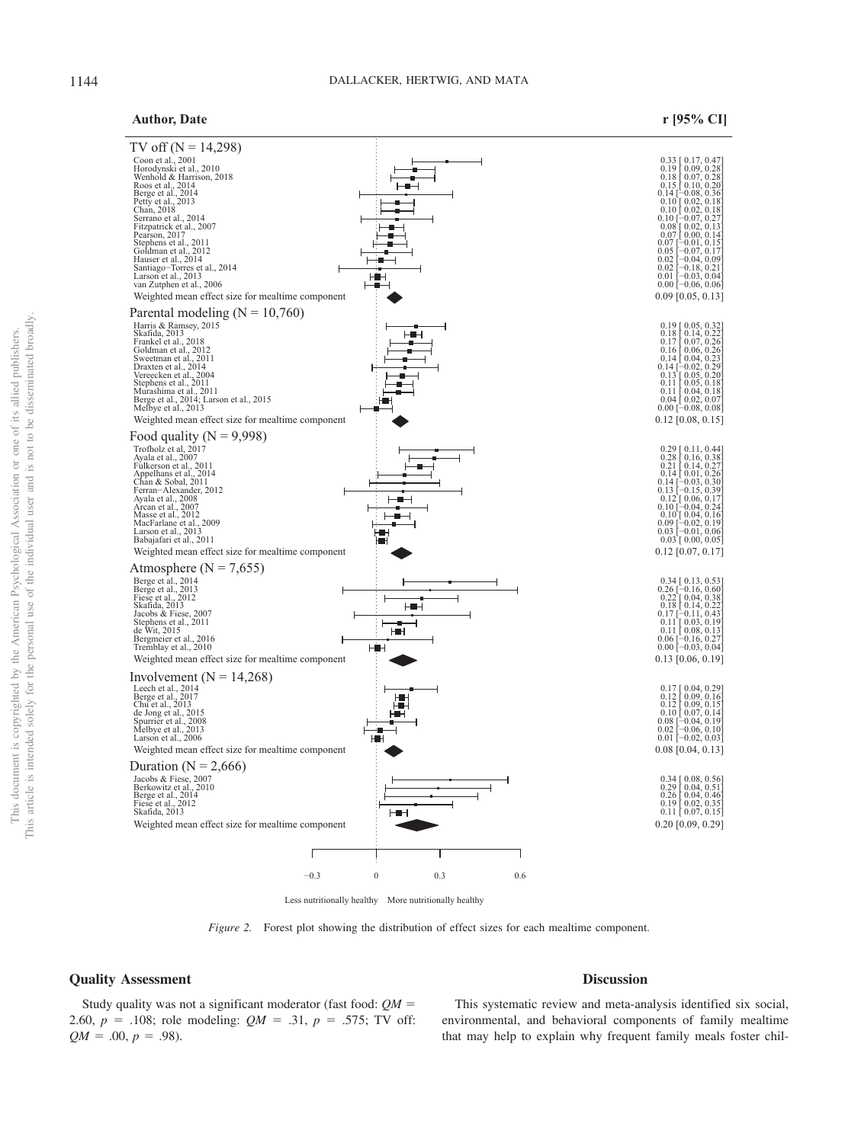# **Author, Date r [95% CI]**



Less nutritionally healthy More nutritionally healthy

<span id="page-7-0"></span>*Figure 2.* Forest plot showing the distribution of effect sizes for each mealtime component.

# **Quality Assessment**

Study quality was not a significant moderator (fast food: *QM* - 2.60,  $p = .108$ ; role modeling:  $QM = .31$ ,  $p = .575$ ; TV off:  $QM = .00, p = .98$ .

This systematic review and meta-analysis identified six social, environmental, and behavioral components of family mealtime that may help to explain why frequent family meals foster chil-

**Discussion**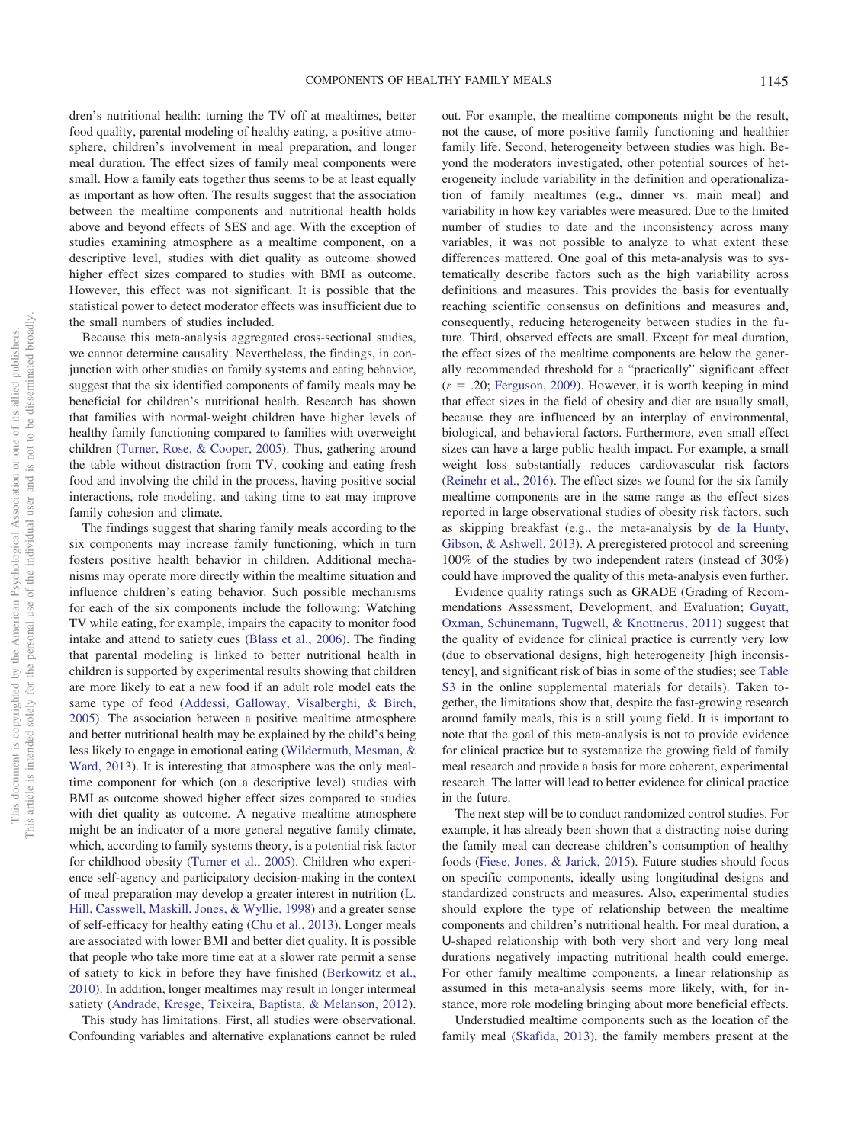dren's nutritional health: turning the TV off at mealtimes, better food quality, parental modeling of healthy eating, a positive atmosphere, children's involvement in meal preparation, and longer meal duration. The effect sizes of family meal components were small. How a family eats together thus seems to be at least equally as important as how often. The results suggest that the association between the mealtime components and nutritional health holds above and beyond effects of SES and age. With the exception of studies examining atmosphere as a mealtime component, on a descriptive level, studies with diet quality as outcome showed higher effect sizes compared to studies with BMI as outcome. However, this effect was not significant. It is possible that the statistical power to detect moderator effects was insufficient due to the small numbers of studies included.

Because this meta-analysis aggregated cross-sectional studies, we cannot determine causality. Nevertheless, the findings, in conjunction with other studies on family systems and eating behavior, suggest that the six identified components of family meals may be beneficial for children's nutritional health. Research has shown that families with normal-weight children have higher levels of healthy family functioning compared to families with overweight children [\(Turner, Rose, & Cooper, 2005\)](#page-12-12). Thus, gathering around the table without distraction from TV, cooking and eating fresh food and involving the child in the process, having positive social interactions, role modeling, and taking time to eat may improve family cohesion and climate.

The findings suggest that sharing family meals according to the six components may increase family functioning, which in turn fosters positive health behavior in children. Additional mechanisms may operate more directly within the mealtime situation and influence children's eating behavior. Such possible mechanisms for each of the six components include the following: Watching TV while eating, for example, impairs the capacity to monitor food intake and attend to satiety cues [\(Blass et al., 2006\)](#page-10-10). The finding that parental modeling is linked to better nutritional health in children is supported by experimental results showing that children are more likely to eat a new food if an adult role model eats the same type of food [\(Addessi, Galloway, Visalberghi, & Birch,](#page-9-5) [2005\)](#page-9-5). The association between a positive mealtime atmosphere and better nutritional health may be explained by the child's being less likely to engage in emotional eating [\(Wildermuth, Mesman, &](#page-12-13) [Ward, 2013\)](#page-12-13). It is interesting that atmosphere was the only mealtime component for which (on a descriptive level) studies with BMI as outcome showed higher effect sizes compared to studies with diet quality as outcome. A negative mealtime atmosphere might be an indicator of a more general negative family climate, which, according to family systems theory, is a potential risk factor for childhood obesity [\(Turner et al., 2005\)](#page-12-12). Children who experience self-agency and participatory decision-making in the context of meal preparation may develop a greater interest in nutrition [\(L.](#page-11-16) [Hill, Casswell, Maskill, Jones, & Wyllie, 1998\)](#page-11-16) and a greater sense of self-efficacy for healthy eating [\(Chu et al., 2013\)](#page-10-11). Longer meals are associated with lower BMI and better diet quality. It is possible that people who take more time eat at a slower rate permit a sense of satiety to kick in before they have finished [\(Berkowitz et al.,](#page-9-6) [2010\)](#page-9-6). In addition, longer mealtimes may result in longer intermeal satiety [\(Andrade, Kresge, Teixeira, Baptista, & Melanson, 2012\)](#page-9-7).

This study has limitations. First, all studies were observational. Confounding variables and alternative explanations cannot be ruled

out. For example, the mealtime components might be the result, not the cause, of more positive family functioning and healthier family life. Second, heterogeneity between studies was high. Beyond the moderators investigated, other potential sources of heterogeneity include variability in the definition and operationalization of family mealtimes (e.g., dinner vs. main meal) and variability in how key variables were measured. Due to the limited number of studies to date and the inconsistency across many variables, it was not possible to analyze to what extent these differences mattered. One goal of this meta-analysis was to systematically describe factors such as the high variability across definitions and measures. This provides the basis for eventually reaching scientific consensus on definitions and measures and, consequently, reducing heterogeneity between studies in the future. Third, observed effects are small. Except for meal duration, the effect sizes of the mealtime components are below the generally recommended threshold for a "practically" significant effect  $(r = .20;$  [Ferguson, 2009\)](#page-10-12). However, it is worth keeping in mind that effect sizes in the field of obesity and diet are usually small, because they are influenced by an interplay of environmental, biological, and behavioral factors. Furthermore, even small effect sizes can have a large public health impact. For example, a small weight loss substantially reduces cardiovascular risk factors [\(Reinehr et al., 2016\)](#page-12-14). The effect sizes we found for the six family mealtime components are in the same range as the effect sizes reported in large observational studies of obesity risk factors, such as skipping breakfast (e.g., the meta-analysis by [de la Hunty,](#page-10-13) [Gibson, & Ashwell, 2013\)](#page-10-13). A preregistered protocol and screening 100% of the studies by two independent raters (instead of 30%) could have improved the quality of this meta-analysis even further.

Evidence quality ratings such as GRADE (Grading of Recommendations Assessment, Development, and Evaluation; [Guyatt,](#page-10-14) [Oxman, Schünemann, Tugwell, & Knottnerus, 2011\)](#page-10-14) suggest that the quality of evidence for clinical practice is currently very low (due to observational designs, high heterogeneity [high inconsistency], and significant risk of bias in some of the studies; see [Table](http://dx.doi.org/10.1037/hea0000801.supp) [S3](http://dx.doi.org/10.1037/hea0000801.supp) in the online supplemental materials for details). Taken together, the limitations show that, despite the fast-growing research around family meals, this is a still young field. It is important to note that the goal of this meta-analysis is not to provide evidence for clinical practice but to systematize the growing field of family meal research and provide a basis for more coherent, experimental research. The latter will lead to better evidence for clinical practice in the future.

The next step will be to conduct randomized control studies. For example, it has already been shown that a distracting noise during the family meal can decrease children's consumption of healthy foods [\(Fiese, Jones, & Jarick, 2015\)](#page-10-15). Future studies should focus on specific components, ideally using longitudinal designs and standardized constructs and measures. Also, experimental studies should explore the type of relationship between the mealtime components and children's nutritional health. For meal duration, a U-shaped relationship with both very short and very long meal durations negatively impacting nutritional health could emerge. For other family mealtime components, a linear relationship as assumed in this meta-analysis seems more likely, with, for instance, more role modeling bringing about more beneficial effects.

Understudied mealtime components such as the location of the family meal [\(Skafida, 2013\)](#page-12-15), the family members present at the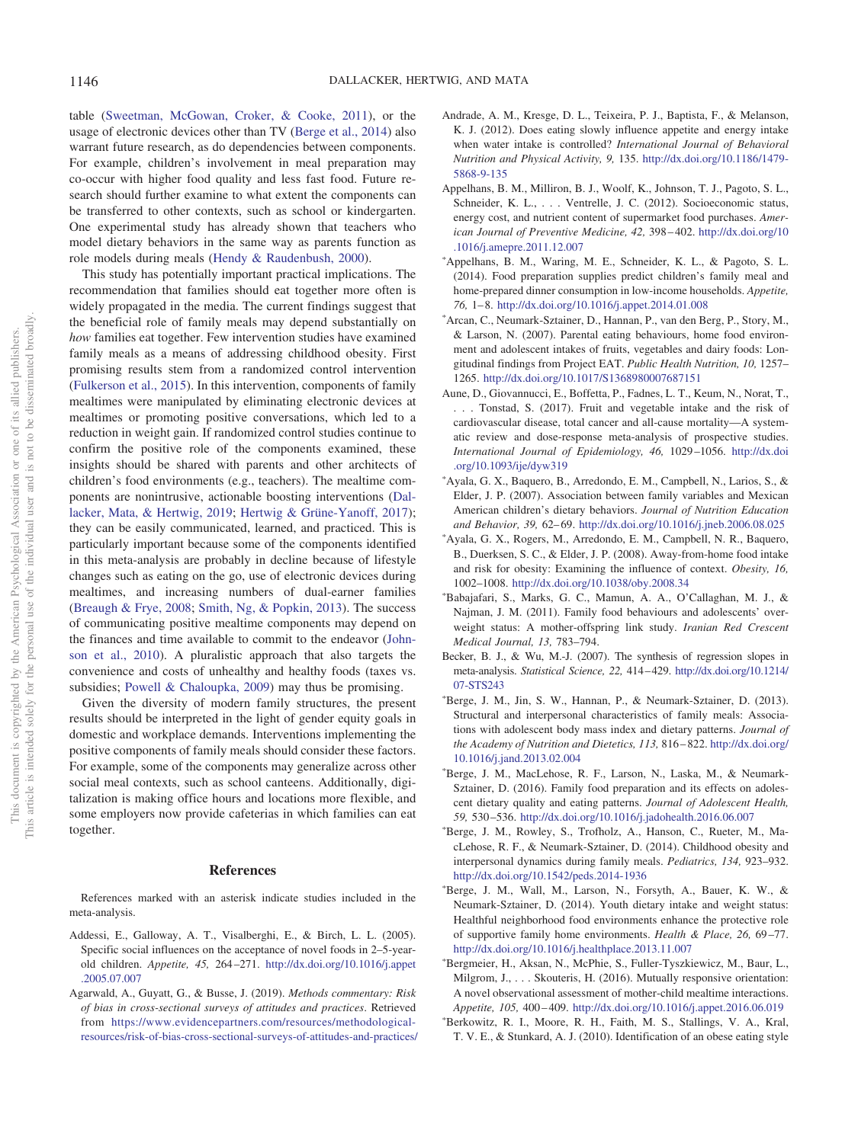table [\(Sweetman, McGowan, Croker, & Cooke, 2011\)](#page-12-16), or the usage of electronic devices other than TV [\(Berge et al., 2014\)](#page-9-0) also warrant future research, as do dependencies between components. For example, children's involvement in meal preparation may co-occur with higher food quality and less fast food. Future research should further examine to what extent the components can be transferred to other contexts, such as school or kindergarten. One experimental study has already shown that teachers who model dietary behaviors in the same way as parents function as role models during meals [\(Hendy & Raudenbush, 2000\)](#page-11-17).

This study has potentially important practical implications. The recommendation that families should eat together more often is widely propagated in the media. The current findings suggest that the beneficial role of family meals may depend substantially on *how* families eat together. Few intervention studies have examined family meals as a means of addressing childhood obesity. First promising results stem from a randomized control intervention [\(Fulkerson et al., 2015\)](#page-10-16). In this intervention, components of family mealtimes were manipulated by eliminating electronic devices at mealtimes or promoting positive conversations, which led to a reduction in weight gain. If randomized control studies continue to confirm the positive role of the components examined, these insights should be shared with parents and other architects of children's food environments (e.g., teachers). The mealtime components are nonintrusive, actionable boosting interventions [\(Dal](#page-10-17)[lacker, Mata, & Hertwig, 2019;](#page-10-17) [Hertwig & Grüne-Yanoff, 2017\)](#page-11-18); they can be easily communicated, learned, and practiced. This is particularly important because some of the components identified in this meta-analysis are probably in decline because of lifestyle changes such as eating on the go, use of electronic devices during mealtimes, and increasing numbers of dual-earner families [\(Breaugh & Frye, 2008;](#page-10-18) [Smith, Ng, & Popkin, 2013\)](#page-12-17). The success of communicating positive mealtime components may depend on the finances and time available to commit to the endeavor [\(John](#page-11-19)[son et al., 2010\)](#page-11-19). A pluralistic approach that also targets the convenience and costs of unhealthy and healthy foods (taxes vs. subsidies; [Powell & Chaloupka, 2009\)](#page-12-18) may thus be promising.

Given the diversity of modern family structures, the present results should be interpreted in the light of gender equity goals in domestic and workplace demands. Interventions implementing the positive components of family meals should consider these factors. For example, some of the components may generalize across other social meal contexts, such as school canteens. Additionally, digitalization is making office hours and locations more flexible, and some employers now provide cafeterias in which families can eat together.

#### **References**

References marked with an asterisk indicate studies included in the meta-analysis.

- <span id="page-9-5"></span>Addessi, E., Galloway, A. T., Visalberghi, E., & Birch, L. L. (2005). Specific social influences on the acceptance of novel foods in 2–5-yearold children. *Appetite, 45,* 264 –271. [http://dx.doi.org/10.1016/j.appet](http://dx.doi.org/10.1016/j.appet.2005.07.007) [.2005.07.007](http://dx.doi.org/10.1016/j.appet.2005.07.007)
- <span id="page-9-4"></span>Agarwald, A., Guyatt, G., & Busse, J. (2019). *Methods commentary: Risk of bias in cross-sectional surveys of attitudes and practices*. Retrieved from [https://www.evidencepartners.com/resources/methodological](https://www.evidencepartners.com/resources/methodological-resources/risk-of-bias-cross-sectional-surveys-of-attitudes-and-practices/)[resources/risk-of-bias-cross-sectional-surveys-of-attitudes-and-practices/](https://www.evidencepartners.com/resources/methodological-resources/risk-of-bias-cross-sectional-surveys-of-attitudes-and-practices/)
- <span id="page-9-7"></span>Andrade, A. M., Kresge, D. L., Teixeira, P. J., Baptista, F., & Melanson, K. J. (2012). Does eating slowly influence appetite and energy intake when water intake is controlled? *International Journal of Behavioral Nutrition and Physical Activity, 9,* 135. [http://dx.doi.org/10.1186/1479-](http://dx.doi.org/10.1186/1479-5868-9-135) [5868-9-135](http://dx.doi.org/10.1186/1479-5868-9-135)
- <span id="page-9-1"></span>Appelhans, B. M., Milliron, B. J., Woolf, K., Johnson, T. J., Pagoto, S. L., Schneider, K. L., . . . Ventrelle, J. C. (2012). Socioeconomic status, energy cost, and nutrient content of supermarket food purchases. *American Journal of Preventive Medicine, 42,* 398 – 402. [http://dx.doi.org/10](http://dx.doi.org/10.1016/j.amepre.2011.12.007) [.1016/j.amepre.2011.12.007](http://dx.doi.org/10.1016/j.amepre.2011.12.007)
- Appelhans, B. M., Waring, M. E., Schneider, K. L., & Pagoto, S. L. (2014). Food preparation supplies predict children's family meal and home-prepared dinner consumption in low-income households. *Appetite, 76,* 1– 8. <http://dx.doi.org/10.1016/j.appet.2014.01.008>
- Arcan, C., Neumark-Sztainer, D., Hannan, P., van den Berg, P., Story, M., & Larson, N. (2007). Parental eating behaviours, home food environment and adolescent intakes of fruits, vegetables and dairy foods: Longitudinal findings from Project EAT. *Public Health Nutrition, 10,* 1257– 1265. <http://dx.doi.org/10.1017/S1368980007687151>
- <span id="page-9-2"></span>Aune, D., Giovannucci, E., Boffetta, P., Fadnes, L. T., Keum, N., Norat, T., . . . Tonstad, S. (2017). Fruit and vegetable intake and the risk of cardiovascular disease, total cancer and all-cause mortality—A systematic review and dose-response meta-analysis of prospective studies. *International Journal of Epidemiology, 46,* 1029 –1056. [http://dx.doi](http://dx.doi.org/10.1093/ije/dyw319) [.org/10.1093/ije/dyw319](http://dx.doi.org/10.1093/ije/dyw319)
- Ayala, G. X., Baquero, B., Arredondo, E. M., Campbell, N., Larios, S., & Elder, J. P. (2007). Association between family variables and Mexican American children's dietary behaviors. *Journal of Nutrition Education and Behavior, 39,* 62– 69. <http://dx.doi.org/10.1016/j.jneb.2006.08.025>
- Ayala, G. X., Rogers, M., Arredondo, E. M., Campbell, N. R., Baquero, B., Duerksen, S. C., & Elder, J. P. (2008). Away-from-home food intake and risk for obesity: Examining the influence of context. *Obesity, 16,* 1002–1008. <http://dx.doi.org/10.1038/oby.2008.34>
- Babajafari, S., Marks, G. C., Mamun, A. A., O'Callaghan, M. J., & Najman, J. M. (2011). Family food behaviours and adolescents' overweight status: A mother-offspring link study. *Iranian Red Crescent Medical Journal, 13,* 783–794.
- <span id="page-9-3"></span>Becker, B. J., & Wu, M.-J. (2007). The synthesis of regression slopes in meta-analysis. *Statistical Science, 22,* 414 – 429. [http://dx.doi.org/10.1214/](http://dx.doi.org/10.1214/07-STS243) [07-STS243](http://dx.doi.org/10.1214/07-STS243)
- Berge, J. M., Jin, S. W., Hannan, P., & Neumark-Sztainer, D. (2013). Structural and interpersonal characteristics of family meals: Associations with adolescent body mass index and dietary patterns. *Journal of the Academy of Nutrition and Dietetics, 113,* 816 – 822. [http://dx.doi.org/](http://dx.doi.org/10.1016/j.jand.2013.02.004) [10.1016/j.jand.2013.02.004](http://dx.doi.org/10.1016/j.jand.2013.02.004)
- Berge, J. M., MacLehose, R. F., Larson, N., Laska, M., & Neumark-Sztainer, D. (2016). Family food preparation and its effects on adolescent dietary quality and eating patterns. *Journal of Adolescent Health, 59,* 530 –536. <http://dx.doi.org/10.1016/j.jadohealth.2016.06.007>
- <span id="page-9-0"></span>- Berge, J. M., Rowley, S., Trofholz, A., Hanson, C., Rueter, M., MacLehose, R. F., & Neumark-Sztainer, D. (2014). Childhood obesity and interpersonal dynamics during family meals. *Pediatrics, 134,* 923–932. <http://dx.doi.org/10.1542/peds.2014-1936>
- Berge, J. M., Wall, M., Larson, N., Forsyth, A., Bauer, K. W., & Neumark-Sztainer, D. (2014). Youth dietary intake and weight status: Healthful neighborhood food environments enhance the protective role of supportive family home environments. *Health & Place, 26,* 69 –77. <http://dx.doi.org/10.1016/j.healthplace.2013.11.007>
- Bergmeier, H., Aksan, N., McPhie, S., Fuller-Tyszkiewicz, M., Baur, L., Milgrom, J.,... Skouteris, H. (2016). Mutually responsive orientation: A novel observational assessment of mother-child mealtime interactions. *Appetite, 105,* 400 – 409. <http://dx.doi.org/10.1016/j.appet.2016.06.019>
- <span id="page-9-6"></span>- Berkowitz, R. I., Moore, R. H., Faith, M. S., Stallings, V. A., Kral, T. V. E., & Stunkard, A. J. (2010). Identification of an obese eating style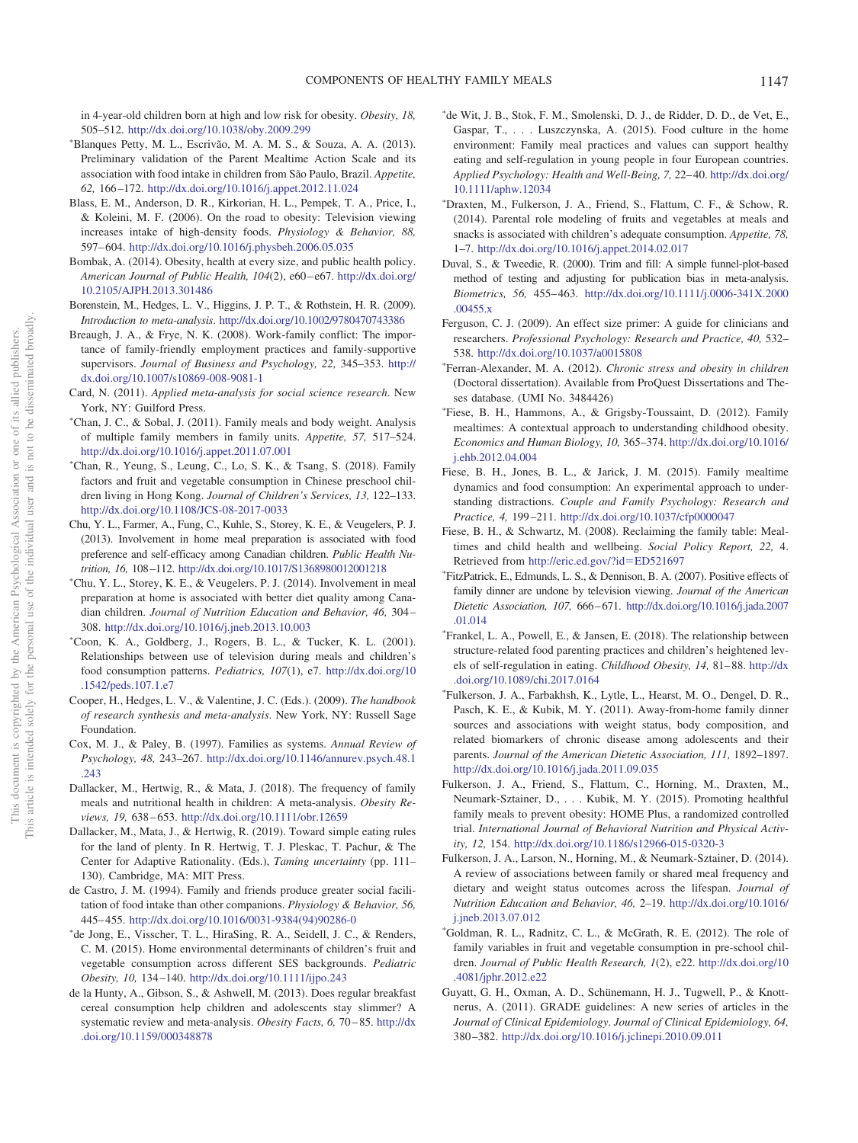in 4-year-old children born at high and low risk for obesity. *Obesity, 18,* 505–512. <http://dx.doi.org/10.1038/oby.2009.299>

- Blanques Petty, M. L., Escrivão, M. A. M. S., & Souza, A. A. (2013). Preliminary validation of the Parent Mealtime Action Scale and its association with food intake in children from São Paulo, Brazil. *Appetite, 62,* 166 –172. <http://dx.doi.org/10.1016/j.appet.2012.11.024>
- <span id="page-10-10"></span>Blass, E. M., Anderson, D. R., Kirkorian, H. L., Pempek, T. A., Price, I., & Koleini, M. F. (2006). On the road to obesity: Television viewing increases intake of high-density foods. *Physiology & Behavior, 88,* 597– 604. <http://dx.doi.org/10.1016/j.physbeh.2006.05.035>
- <span id="page-10-7"></span>Bombak, A. (2014). Obesity, health at every size, and public health policy. *American Journal of Public Health, 104*(2), e60 – e67. [http://dx.doi.org/](http://dx.doi.org/10.2105/AJPH.2013.301486) [10.2105/AJPH.2013.301486](http://dx.doi.org/10.2105/AJPH.2013.301486)
- <span id="page-10-8"></span>Borenstein, M., Hedges, L. V., Higgins, J. P. T., & Rothstein, H. R. (2009). *Introduction to meta-analysis*. <http://dx.doi.org/10.1002/9780470743386>
- <span id="page-10-18"></span>Breaugh, J. A., & Frye, N. K. (2008). Work-family conflict: The importance of family-friendly employment practices and family-supportive supervisors. *Journal of Business and Psychology, 22,* 345–353. [http://](http://dx.doi.org/10.1007/s10869-008-9081-1) [dx.doi.org/10.1007/s10869-008-9081-1](http://dx.doi.org/10.1007/s10869-008-9081-1)
- <span id="page-10-6"></span>Card, N. (2011). *Applied meta-analysis for social science research*. New York, NY: Guilford Press.
- Chan, J. C., & Sobal, J. (2011). Family meals and body weight. Analysis of multiple family members in family units. *Appetite, 57,* 517–524. <http://dx.doi.org/10.1016/j.appet.2011.07.001>
- Chan, R., Yeung, S., Leung, C., Lo, S. K., & Tsang, S. (2018). Family factors and fruit and vegetable consumption in Chinese preschool children living in Hong Kong. *Journal of Children's Services, 13,* 122–133. <http://dx.doi.org/10.1108/JCS-08-2017-0033>
- <span id="page-10-11"></span>Chu, Y. L., Farmer, A., Fung, C., Kuhle, S., Storey, K. E., & Veugelers, P. J. (2013). Involvement in home meal preparation is associated with food preference and self-efficacy among Canadian children. *Public Health Nutrition, 16,* 108 –112. <http://dx.doi.org/10.1017/S1368980012001218>
- Chu, Y. L., Storey, K. E., & Veugelers, P. J. (2014). Involvement in meal preparation at home is associated with better diet quality among Canadian children. *Journal of Nutrition Education and Behavior, 46,* 304 – 308. <http://dx.doi.org/10.1016/j.jneb.2013.10.003>
- Coon, K. A., Goldberg, J., Rogers, B. L., & Tucker, K. L. (2001). Relationships between use of television during meals and children's food consumption patterns. *Pediatrics, 107*(1), e7. [http://dx.doi.org/10](http://dx.doi.org/10.1542/peds.107.1.e7) [.1542/peds.107.1.e7](http://dx.doi.org/10.1542/peds.107.1.e7)
- <span id="page-10-5"></span>Cooper, H., Hedges, L. V., & Valentine, J. C. (Eds.). (2009). *The handbook of research synthesis and meta-analysis*. New York, NY: Russell Sage Foundation.
- <span id="page-10-2"></span>Cox, M. J., & Paley, B. (1997). Families as systems. *Annual Review of Psychology, 48,* 243–267. [http://dx.doi.org/10.1146/annurev.psych.48.1](http://dx.doi.org/10.1146/annurev.psych.48.1.243) [.243](http://dx.doi.org/10.1146/annurev.psych.48.1.243)
- <span id="page-10-1"></span>Dallacker, M., Hertwig, R., & Mata, J. (2018). The frequency of family meals and nutritional health in children: A meta-analysis. *Obesity Reviews, 19,* 638 – 653. <http://dx.doi.org/10.1111/obr.12659>
- <span id="page-10-17"></span>Dallacker, M., Mata, J., & Hertwig, R. (2019). Toward simple eating rules for the land of plenty. In R. Hertwig, T. J. Pleskac, T. Pachur, & The Center for Adaptive Rationality. (Eds.), *Taming uncertainty* (pp. 111– 130). Cambridge, MA: MIT Press.
- <span id="page-10-3"></span>de Castro, J. M. (1994). Family and friends produce greater social facilitation of food intake than other companions. *Physiology & Behavior, 56,* 445– 455. [http://dx.doi.org/10.1016/0031-9384\(94\)90286-0](http://dx.doi.org/10.1016/0031-9384%2894%2990286-0)
- de Jong, E., Visscher, T. L., HiraSing, R. A., Seidell, J. C., & Renders, C. M. (2015). Home environmental determinants of children's fruit and vegetable consumption across different SES backgrounds. *Pediatric Obesity, 10,* 134 –140. <http://dx.doi.org/10.1111/ijpo.243>
- <span id="page-10-13"></span>de la Hunty, A., Gibson, S., & Ashwell, M. (2013). Does regular breakfast cereal consumption help children and adolescents stay slimmer? A systematic review and meta-analysis. *Obesity Facts, 6, 70-85*. [http://dx](http://dx.doi.org/10.1159/000348878) [.doi.org/10.1159/000348878](http://dx.doi.org/10.1159/000348878)
- de Wit, J. B., Stok, F. M., Smolenski, D. J., de Ridder, D. D., de Vet, E., Gaspar, T.,... Luszczynska, A. (2015). Food culture in the home environment: Family meal practices and values can support healthy eating and self-regulation in young people in four European countries. *Applied Psychology: Health and Well-Being, 7,* 22– 40. [http://dx.doi.org/](http://dx.doi.org/10.1111/aphw.12034) [10.1111/aphw.12034](http://dx.doi.org/10.1111/aphw.12034)
- Draxten, M., Fulkerson, J. A., Friend, S., Flattum, C. F., & Schow, R. (2014). Parental role modeling of fruits and vegetables at meals and snacks is associated with children's adequate consumption. *Appetite, 78,* 1–7. <http://dx.doi.org/10.1016/j.appet.2014.02.017>
- <span id="page-10-9"></span>Duval, S., & Tweedie, R. (2000). Trim and fill: A simple funnel-plot-based method of testing and adjusting for publication bias in meta-analysis. *Biometrics, 56,* 455– 463. [http://dx.doi.org/10.1111/j.0006-341X.2000](http://dx.doi.org/10.1111/j.0006-341X.2000.00455.x) [.00455.x](http://dx.doi.org/10.1111/j.0006-341X.2000.00455.x)
- <span id="page-10-12"></span>Ferguson, C. J. (2009). An effect size primer: A guide for clinicians and researchers. *Professional Psychology: Research and Practice, 40,* 532– 538. <http://dx.doi.org/10.1037/a0015808>
- Ferran-Alexander, M. A. (2012). *Chronic stress and obesity in children* (Doctoral dissertation). Available from ProQuest Dissertations and Theses database. (UMI No. 3484426)
- Fiese, B. H., Hammons, A., & Grigsby-Toussaint, D. (2012). Family mealtimes: A contextual approach to understanding childhood obesity. *Economics and Human Biology, 10,* 365–374. [http://dx.doi.org/10.1016/](http://dx.doi.org/10.1016/j.ehb.2012.04.004) [j.ehb.2012.04.004](http://dx.doi.org/10.1016/j.ehb.2012.04.004)
- <span id="page-10-15"></span>Fiese, B. H., Jones, B. L., & Jarick, J. M. (2015). Family mealtime dynamics and food consumption: An experimental approach to understanding distractions. *Couple and Family Psychology: Research and Practice, 4,* 199 –211. <http://dx.doi.org/10.1037/cfp0000047>
- <span id="page-10-0"></span>Fiese, B. H., & Schwartz, M. (2008). Reclaiming the family table: Mealtimes and child health and wellbeing. *Social Policy Report, 22,* 4. Retrieved from [http://eric.ed.gov/?id](http://eric.ed.gov/?id=ED521697)-ED521697
- FitzPatrick, E., Edmunds, L. S., & Dennison, B. A. (2007). Positive effects of family dinner are undone by television viewing. *Journal of the American Dietetic Association, 107,* 666 – 671. [http://dx.doi.org/10.1016/j.jada.2007](http://dx.doi.org/10.1016/j.jada.2007.01.014) [.01.014](http://dx.doi.org/10.1016/j.jada.2007.01.014)
- Frankel, L. A., Powell, E., & Jansen, E. (2018). The relationship between structure-related food parenting practices and children's heightened levels of self-regulation in eating. *Childhood Obesity, 14, 81-88*. [http://dx](http://dx.doi.org/10.1089/chi.2017.0164) [.doi.org/10.1089/chi.2017.0164](http://dx.doi.org/10.1089/chi.2017.0164)
- Fulkerson, J. A., Farbakhsh, K., Lytle, L., Hearst, M. O., Dengel, D. R., Pasch, K. E., & Kubik, M. Y. (2011). Away-from-home family dinner sources and associations with weight status, body composition, and related biomarkers of chronic disease among adolescents and their parents. *Journal of the American Dietetic Association, 111,* 1892–1897. <http://dx.doi.org/10.1016/j.jada.2011.09.035>
- <span id="page-10-16"></span>Fulkerson, J. A., Friend, S., Flattum, C., Horning, M., Draxten, M., Neumark-Sztainer, D.,... Kubik, M. Y. (2015). Promoting healthful family meals to prevent obesity: HOME Plus, a randomized controlled trial. *International Journal of Behavioral Nutrition and Physical Activity, 12,* 154. <http://dx.doi.org/10.1186/s12966-015-0320-3>
- <span id="page-10-4"></span>Fulkerson, J. A., Larson, N., Horning, M., & Neumark-Sztainer, D. (2014). A review of associations between family or shared meal frequency and dietary and weight status outcomes across the lifespan. *Journal of Nutrition Education and Behavior, 46,* 2–19. [http://dx.doi.org/10.1016/](http://dx.doi.org/10.1016/j.jneb.2013.07.012) [j.jneb.2013.07.012](http://dx.doi.org/10.1016/j.jneb.2013.07.012)
- Goldman, R. L., Radnitz, C. L., & McGrath, R. E. (2012). The role of family variables in fruit and vegetable consumption in pre-school children. *Journal of Public Health Research, 1*(2), e22. [http://dx.doi.org/10](http://dx.doi.org/10.4081/jphr.2012.e22) [.4081/jphr.2012.e22](http://dx.doi.org/10.4081/jphr.2012.e22)
- <span id="page-10-14"></span>Guyatt, G. H., Oxman, A. D., Schünemann, H. J., Tugwell, P., & Knottnerus, A. (2011). GRADE guidelines: A new series of articles in the *Journal of Clinical Epidemiology*. *Journal of Clinical Epidemiology, 64,* 380 –382. <http://dx.doi.org/10.1016/j.jclinepi.2010.09.011>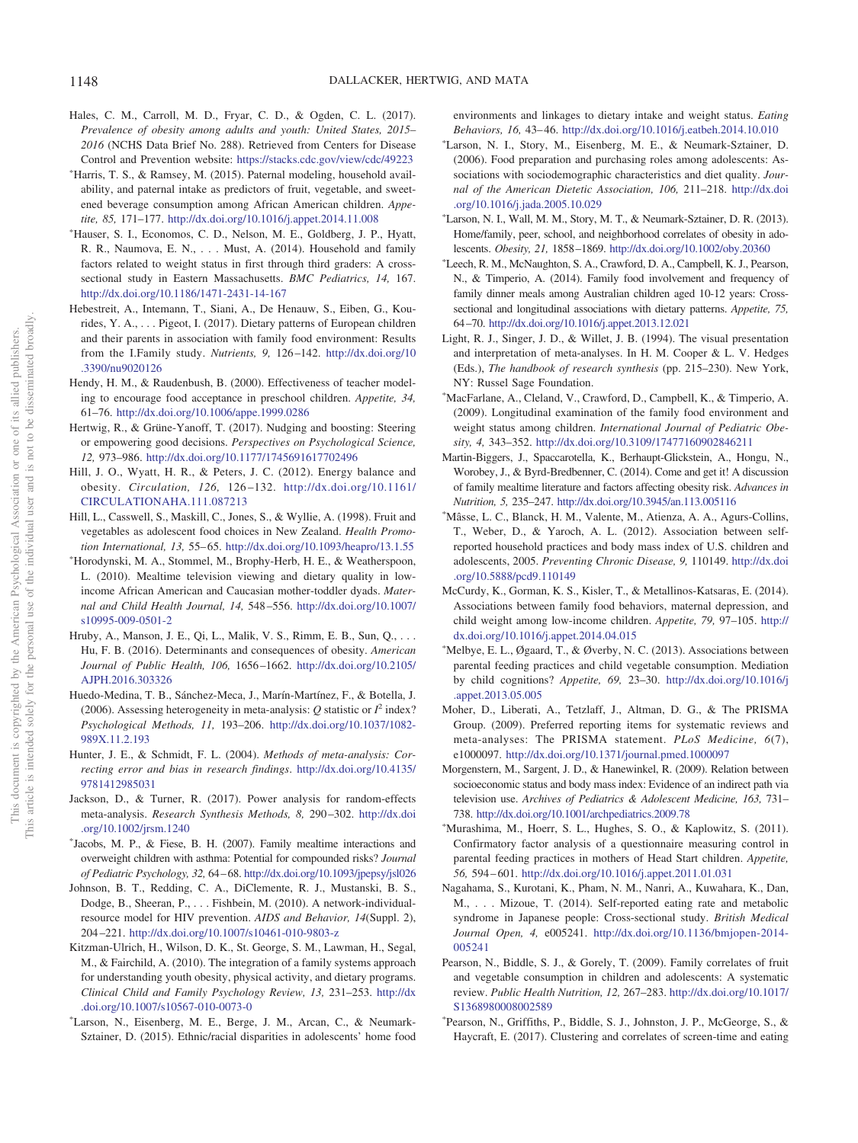- <span id="page-11-0"></span>Hales, C. M., Carroll, M. D., Fryar, C. D., & Ogden, C. L. (2017). *Prevalence of obesity among adults and youth: United States, 2015– 2016* (NCHS Data Brief No. 288). Retrieved from Centers for Disease Control and Prevention website: <https://stacks.cdc.gov/view/cdc/49223>
- Harris, T. S., & Ramsey, M. (2015). Paternal modeling, household availability, and paternal intake as predictors of fruit, vegetable, and sweetened beverage consumption among African American children. *Appetite, 85,* 171–177. <http://dx.doi.org/10.1016/j.appet.2014.11.008>
- Hauser, S. I., Economos, C. D., Nelson, M. E., Goldberg, J. P., Hyatt, R. R., Naumova, E. N.,... Must, A. (2014). Household and family factors related to weight status in first through third graders: A crosssectional study in Eastern Massachusetts. *BMC Pediatrics, 14,* 167. <http://dx.doi.org/10.1186/1471-2431-14-167>
- <span id="page-11-1"></span>Hebestreit, A., Intemann, T., Siani, A., De Henauw, S., Eiben, G., Kourides, Y. A.,... Pigeot, I. (2017). Dietary patterns of European children and their parents in association with family food environment: Results from the I.Family study. *Nutrients, 9,* 126 –142. [http://dx.doi.org/10](http://dx.doi.org/10.3390/nu9020126) [.3390/nu9020126](http://dx.doi.org/10.3390/nu9020126)
- <span id="page-11-17"></span>Hendy, H. M., & Raudenbush, B. (2000). Effectiveness of teacher modeling to encourage food acceptance in preschool children. *Appetite, 34,* 61–76. <http://dx.doi.org/10.1006/appe.1999.0286>
- <span id="page-11-18"></span>Hertwig, R., & Grüne-Yanoff, T. (2017). Nudging and boosting: Steering or empowering good decisions. *Perspectives on Psychological Science, 12,* 973–986. <http://dx.doi.org/10.1177/1745691617702496>
- <span id="page-11-11"></span>Hill, J. O., Wyatt, H. R., & Peters, J. C. (2012). Energy balance and obesity. *Circulation, 126,* 126 –132. [http://dx.doi.org/10.1161/](http://dx.doi.org/10.1161/CIRCULATIONAHA.111.087213) [CIRCULATIONAHA.111.087213](http://dx.doi.org/10.1161/CIRCULATIONAHA.111.087213)
- <span id="page-11-16"></span>Hill, L., Casswell, S., Maskill, C., Jones, S., & Wyllie, A. (1998). Fruit and vegetables as adolescent food choices in New Zealand. *Health Promotion International, 13,* 55– 65. <http://dx.doi.org/10.1093/heapro/13.1.55>
- Horodynski, M. A., Stommel, M., Brophy-Herb, H. E., & Weatherspoon, L. (2010). Mealtime television viewing and dietary quality in lowincome African American and Caucasian mother-toddler dyads. *Maternal and Child Health Journal, 14,* 548 –556. [http://dx.doi.org/10.1007/](http://dx.doi.org/10.1007/s10995-009-0501-2) [s10995-009-0501-2](http://dx.doi.org/10.1007/s10995-009-0501-2)
- <span id="page-11-6"></span>Hruby, A., Manson, J. E., Qi, L., Malik, V. S., Rimm, E. B., Sun, Q.,... Hu, F. B. (2016). Determinants and consequences of obesity. *American Journal of Public Health, 106,* 1656 –1662. [http://dx.doi.org/10.2105/](http://dx.doi.org/10.2105/AJPH.2016.303326) [AJPH.2016.303326](http://dx.doi.org/10.2105/AJPH.2016.303326)
- <span id="page-11-14"></span>Huedo-Medina, T. B., Sánchez-Meca, J., Marín-Martínez, F., & Botella, J. (2006). Assessing heterogeneity in meta-analysis:  $Q$  statistic or  $I^2$  index? *Psychological Methods, 11,* 193–206. [http://dx.doi.org/10.1037/1082-](http://dx.doi.org/10.1037/1082-989X.11.2.193) [989X.11.2.193](http://dx.doi.org/10.1037/1082-989X.11.2.193)
- <span id="page-11-13"></span>Hunter, J. E., & Schmidt, F. L. (2004). *Methods of meta-analysis: Correcting error and bias in research findings*. [http://dx.doi.org/10.4135/](http://dx.doi.org/10.4135/9781412985031) [9781412985031](http://dx.doi.org/10.4135/9781412985031)
- <span id="page-11-9"></span>Jackson, D., & Turner, R. (2017). Power analysis for random-effects meta-analysis. *Research Synthesis Methods, 8,* 290 –302. [http://dx.doi](http://dx.doi.org/10.1002/jrsm.1240) [.org/10.1002/jrsm.1240](http://dx.doi.org/10.1002/jrsm.1240)
- <span id="page-11-3"></span>- Jacobs, M. P., & Fiese, B. H. (2007). Family mealtime interactions and overweight children with asthma: Potential for compounded risks? *Journal of Pediatric Psychology, 32,* 64 – 68. <http://dx.doi.org/10.1093/jpepsy/jsl026>
- <span id="page-11-19"></span>Johnson, B. T., Redding, C. A., DiClemente, R. J., Mustanski, B. S., Dodge, B., Sheeran, P.,... Fishbein, M. (2010). A network-individualresource model for HIV prevention. *AIDS and Behavior, 14*(Suppl. 2), 204 –221. <http://dx.doi.org/10.1007/s10461-010-9803-z>
- <span id="page-11-2"></span>Kitzman-Ulrich, H., Wilson, D. K., St. George, S. M., Lawman, H., Segal, M., & Fairchild, A. (2010). The integration of a family systems approach for understanding youth obesity, physical activity, and dietary programs. *Clinical Child and Family Psychology Review, 13,* 231–253. [http://dx](http://dx.doi.org/10.1007/s10567-010-0073-0) [.doi.org/10.1007/s10567-010-0073-0](http://dx.doi.org/10.1007/s10567-010-0073-0)
- Larson, N., Eisenberg, M. E., Berge, J. M., Arcan, C., & Neumark-Sztainer, D. (2015). Ethnic/racial disparities in adolescents' home food

environments and linkages to dietary intake and weight status. *Eating Behaviors, 16,* 43– 46. <http://dx.doi.org/10.1016/j.eatbeh.2014.10.010>

- Larson, N. I., Story, M., Eisenberg, M. E., & Neumark-Sztainer, D. (2006). Food preparation and purchasing roles among adolescents: Associations with sociodemographic characteristics and diet quality. *Journal of the American Dietetic Association, 106,* 211–218. [http://dx.doi](http://dx.doi.org/10.1016/j.jada.2005.10.029) [.org/10.1016/j.jada.2005.10.029](http://dx.doi.org/10.1016/j.jada.2005.10.029)
- Larson, N. I., Wall, M. M., Story, M. T., & Neumark-Sztainer, D. R. (2013). Home/family, peer, school, and neighborhood correlates of obesity in adolescents. *Obesity, 21,* 1858 –1869. <http://dx.doi.org/10.1002/oby.20360>
- Leech, R. M., McNaughton, S. A., Crawford, D. A., Campbell, K. J., Pearson, N., & Timperio, A. (2014). Family food involvement and frequency of family dinner meals among Australian children aged 10-12 years: Crosssectional and longitudinal associations with dietary patterns. *Appetite, 75,* 64 –70. <http://dx.doi.org/10.1016/j.appet.2013.12.021>
- <span id="page-11-15"></span>Light, R. J., Singer, J. D., & Willet, J. B. (1994). The visual presentation and interpretation of meta-analyses. In H. M. Cooper & L. V. Hedges (Eds.), *The handbook of research synthesis* (pp. 215–230). New York, NY: Russel Sage Foundation.
- MacFarlane, A., Cleland, V., Crawford, D., Campbell, K., & Timperio, A. (2009). Longitudinal examination of the family food environment and weight status among children. *International Journal of Pediatric Obesity, 4,* 343–352. <http://dx.doi.org/10.3109/17477160902846211>
- <span id="page-11-4"></span>Martin-Biggers, J., Spaccarotella, K., Berhaupt-Glickstein, A., Hongu, N., Worobey, J., & Byrd-Bredbenner, C. (2014). Come and get it! A discussion of family mealtime literature and factors affecting obesity risk. *Advances in Nutrition, 5,* 235–247. <http://dx.doi.org/10.3945/an.113.005116>
- Mâsse, L. C., Blanck, H. M., Valente, M., Atienza, A. A., Agurs-Collins, T., Weber, D., & Yaroch, A. L. (2012). Association between selfreported household practices and body mass index of U.S. children and adolescents, 2005. *Preventing Chronic Disease, 9,* 110149. [http://dx.doi](http://dx.doi.org/10.5888/pcd9.110149) [.org/10.5888/pcd9.110149](http://dx.doi.org/10.5888/pcd9.110149)
- <span id="page-11-10"></span>McCurdy, K., Gorman, K. S., Kisler, T., & Metallinos-Katsaras, E. (2014). Associations between family food behaviors, maternal depression, and child weight among low-income children. *Appetite, 79,* 97–105. [http://](http://dx.doi.org/10.1016/j.appet.2014.04.015) [dx.doi.org/10.1016/j.appet.2014.04.015](http://dx.doi.org/10.1016/j.appet.2014.04.015)
- Melbye, E. L., Øgaard, T., & Øverby, N. C. (2013). Associations between parental feeding practices and child vegetable consumption. Mediation by child cognitions? *Appetite, 69,* 23–30. [http://dx.doi.org/10.1016/j](http://dx.doi.org/10.1016/j.appet.2013.05.005) [.appet.2013.05.005](http://dx.doi.org/10.1016/j.appet.2013.05.005)
- <span id="page-11-8"></span>Moher, D., Liberati, A., Tetzlaff, J., Altman, D. G., & The PRISMA Group. (2009). Preferred reporting items for systematic reviews and meta-analyses: The PRISMA statement. *PLoS Medicine, 6*(7), e1000097. <http://dx.doi.org/10.1371/journal.pmed.1000097>
- <span id="page-11-7"></span>Morgenstern, M., Sargent, J. D., & Hanewinkel, R. (2009). Relation between socioeconomic status and body mass index: Evidence of an indirect path via television use. *Archives of Pediatrics & Adolescent Medicine, 163,* 731– 738. <http://dx.doi.org/10.1001/archpediatrics.2009.78>
- Murashima, M., Hoerr, S. L., Hughes, S. O., & Kaplowitz, S. (2011). Confirmatory factor analysis of a questionnaire measuring control in parental feeding practices in mothers of Head Start children. *Appetite, 56,* 594 – 601. <http://dx.doi.org/10.1016/j.appet.2011.01.031>
- <span id="page-11-12"></span>Nagahama, S., Kurotani, K., Pham, N. M., Nanri, A., Kuwahara, K., Dan, M., . . . Mizoue, T. (2014). Self-reported eating rate and metabolic syndrome in Japanese people: Cross-sectional study. *British Medical Journal Open, 4,* e005241. [http://dx.doi.org/10.1136/bmjopen-2014-](http://dx.doi.org/10.1136/bmjopen-2014-005241) [005241](http://dx.doi.org/10.1136/bmjopen-2014-005241)
- <span id="page-11-5"></span>Pearson, N., Biddle, S. J., & Gorely, T. (2009). Family correlates of fruit and vegetable consumption in children and adolescents: A systematic review. *Public Health Nutrition, 12,* 267–283. [http://dx.doi.org/10.1017/](http://dx.doi.org/10.1017/S1368980008002589) [S1368980008002589](http://dx.doi.org/10.1017/S1368980008002589)
- Pearson, N., Griffiths, P., Biddle, S. J., Johnston, J. P., McGeorge, S., & Haycraft, E. (2017). Clustering and correlates of screen-time and eating